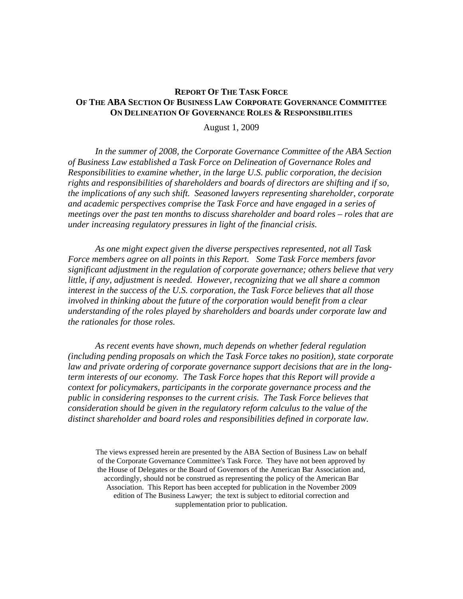### **REPORT OF THE TASK FORCE OF THE ABA SECTION OF BUSINESS LAW CORPORATE GOVERNANCE COMMITTEE ON DELINEATION OF GOVERNANCE ROLES & RESPONSIBILITIES**

August 1, 2009

*In the summer of 2008, the Corporate Governance Committee of the ABA Section of Business Law established a Task Force on Delineation of Governance Roles and Responsibilities to examine whether, in the large U.S. public corporation, the decision rights and responsibilities of shareholders and boards of directors are shifting and if so, the implications of any such shift. Seasoned lawyers representing shareholder, corporate and academic perspectives comprise the Task Force and have engaged in a series of meetings over the past ten months to discuss shareholder and board roles – roles that are under increasing regulatory pressures in light of the financial crisis.* 

*As one might expect given the diverse perspectives represented, not all Task Force members agree on all points in this Report. Some Task Force members favor significant adjustment in the regulation of corporate governance; others believe that very little, if any, adjustment is needed. However, recognizing that we all share a common interest in the success of the U.S. corporation, the Task Force believes that all those involved in thinking about the future of the corporation would benefit from a clear understanding of the roles played by shareholders and boards under corporate law and the rationales for those roles.* 

*As recent events have shown, much depends on whether federal regulation (including pending proposals on which the Task Force takes no position), state corporate law and private ordering of corporate governance support decisions that are in the longterm interests of our economy. The Task Force hopes that this Report will provide a context for policymakers, participants in the corporate governance process and the public in considering responses to the current crisis. The Task Force believes that consideration should be given in the regulatory reform calculus to the value of the distinct shareholder and board roles and responsibilities defined in corporate law.* 

The views expressed herein are presented by the ABA Section of Business Law on behalf of the Corporate Governance Committee's Task Force. They have not been approved by the House of Delegates or the Board of Governors of the American Bar Association and, accordingly, should not be construed as representing the policy of the American Bar Association. This Report has been accepted for publication in the November 2009 edition of The Business Lawyer; the text is subject to editorial correction and supplementation prior to publication.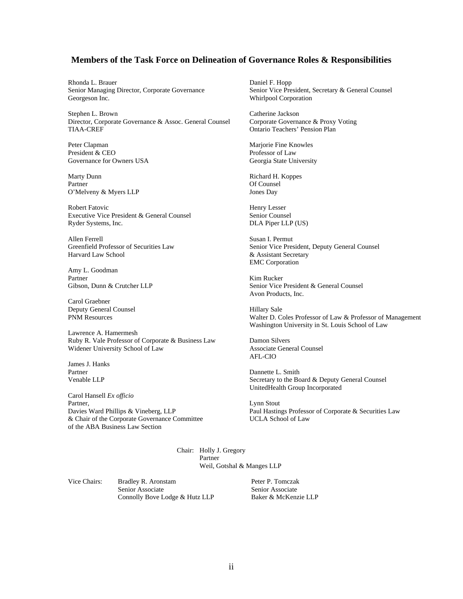#### **Members of the Task Force on Delineation of Governance Roles & Responsibilities**

Rhonda L. Brauer Daniel F. Hopp Georgeson Inc. Whirlpool Corporation

Stephen L. Brown Catherine Jackson Director, Corporate Governance & Assoc. General Counsel Corporate Governance & Proxy Voting TIAA-CREF Ontario Teachers' Pension Plan

Peter Clapman Marjorie Fine Knowles<br>
President & CEO<br>
Professor of Law Governance for Owners USA Georgia State University

Marty Dunn Richard H. Koppes Partner Of Counsel O'Melveny & Myers LLP Jones Day

Robert Fatovic Henry Lesser Executive Vice President & General Counsel Senior Counsel Ryder Systems, Inc. DLA Piper LLP (US)

Allen Ferrell Susan I. Permut Greenfield Professor of Securities Law Senior Vice Pres

Amy L. Goodman Partner Kim Rucker

Carol Graebner Deputy General Counsel **Filter** General Counsel

Lawrence A. Hamermesh Ruby R. Vale Professor of Corporate & Business Law Damon Silvers Widener University School of Law Associate General Counsel

James J. Hanks Partner Dannette L. Smith

Carol Hansell *Ex officio* Partner, Lynn Stout & Chair of the Corporate Governance Committee UCLA School of Law of the ABA Business Law Section

Senior Managing Director, Corporate Governance Senior Vice President, Secretary & General Counsel

Professor of Law

Greenfield Professor of Securities Law Senior Vice President, Deputy General Counsel<br>Harvard Law School & Assistant Secretary  $&$  Assistant Secretary EMC Corporation

Gibson, Dunn & Crutcher LLP Senior Vice President & General Counsel Avon Products, Inc.

PNM Resources Walter D. Coles Professor of Law & Professor of Management Washington University in St. Louis School of Law

AFL-CIO

Venable LLP Secretary to the Board & Deputy General Counsel UnitedHealth Group Incorporated

Davies Ward Phillips & Vineberg, LLP Paul Hastings Professor of Corporate & Securities Law

Chair: Holly J. Gregory Partner Weil, Gotshal & Manges LLP

Vice Chairs: Bradley R. Aronstam Senior Associate Connolly Bove Lodge & Hutz LLP  Peter P. Tomczak Senior Associate Baker & McKenzie LLP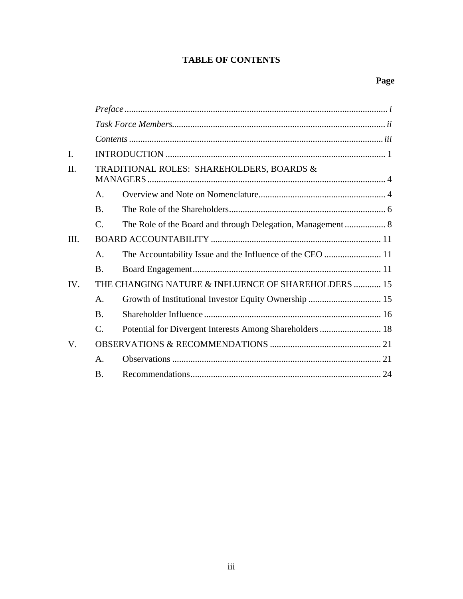# **TABLE OF CONTENTS**

| $\mathbf{I}$ . |                                                     |  |  |  |
|----------------|-----------------------------------------------------|--|--|--|
| $\Pi$ .        | TRADITIONAL ROLES: SHAREHOLDERS, BOARDS &           |  |  |  |
|                | $\mathsf{A}$ .                                      |  |  |  |
|                | <b>B.</b>                                           |  |  |  |
|                | $\mathcal{C}_{\cdot}$                               |  |  |  |
| III.           |                                                     |  |  |  |
|                | $\mathsf{A}$ .                                      |  |  |  |
|                | B.                                                  |  |  |  |
| $IV_{\cdot}$   | THE CHANGING NATURE & INFLUENCE OF SHAREHOLDERS  15 |  |  |  |
|                | $\mathsf{A}$ .                                      |  |  |  |
|                | $\bf{B}$                                            |  |  |  |
|                | C.                                                  |  |  |  |
| V.             |                                                     |  |  |  |
|                | $\mathsf{A}$ .                                      |  |  |  |
|                | $\bf{B}$ .                                          |  |  |  |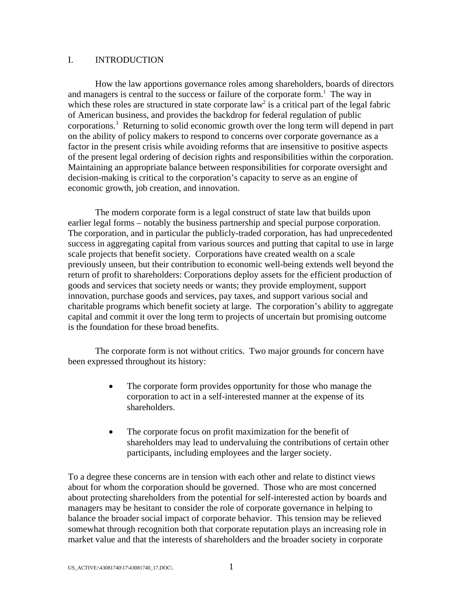### I. INTRODUCTION

How the law apportions governance roles among shareholders, boards of directors and managers is central to the success or failure of the corporate form.<sup>1</sup> The way in which these roles are structured in state corporate  $law<sup>2</sup>$  is a critical part of the legal fabric of American business, and provides the backdrop for federal regulation of public corporations.<sup>3</sup> Returning to solid economic growth over the long term will depend in part on the ability of policy makers to respond to concerns over corporate governance as a factor in the present crisis while avoiding reforms that are insensitive to positive aspects of the present legal ordering of decision rights and responsibilities within the corporation. Maintaining an appropriate balance between responsibilities for corporate oversight and decision-making is critical to the corporation's capacity to serve as an engine of economic growth, job creation, and innovation.

The modern corporate form is a legal construct of state law that builds upon earlier legal forms – notably the business partnership and special purpose corporation. The corporation, and in particular the publicly-traded corporation, has had unprecedented success in aggregating capital from various sources and putting that capital to use in large scale projects that benefit society. Corporations have created wealth on a scale previously unseen, but their contribution to economic well-being extends well beyond the return of profit to shareholders: Corporations deploy assets for the efficient production of goods and services that society needs or wants; they provide employment, support innovation, purchase goods and services, pay taxes, and support various social and charitable programs which benefit society at large. The corporation's ability to aggregate capital and commit it over the long term to projects of uncertain but promising outcome is the foundation for these broad benefits.

The corporate form is not without critics. Two major grounds for concern have been expressed throughout its history:

- The corporate form provides opportunity for those who manage the corporation to act in a self-interested manner at the expense of its shareholders.
- The corporate focus on profit maximization for the benefit of shareholders may lead to undervaluing the contributions of certain other participants, including employees and the larger society.

To a degree these concerns are in tension with each other and relate to distinct views about for whom the corporation should be governed. Those who are most concerned about protecting shareholders from the potential for self-interested action by boards and managers may be hesitant to consider the role of corporate governance in helping to balance the broader social impact of corporate behavior. This tension may be relieved somewhat through recognition both that corporate reputation plays an increasing role in market value and that the interests of shareholders and the broader society in corporate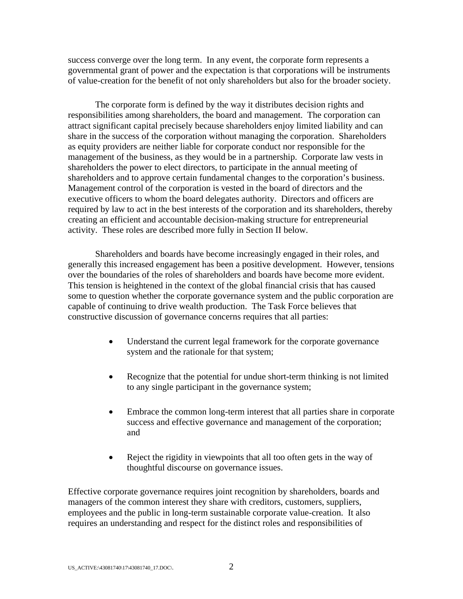success converge over the long term. In any event, the corporate form represents a governmental grant of power and the expectation is that corporations will be instruments of value-creation for the benefit of not only shareholders but also for the broader society.

The corporate form is defined by the way it distributes decision rights and responsibilities among shareholders, the board and management. The corporation can attract significant capital precisely because shareholders enjoy limited liability and can share in the success of the corporation without managing the corporation. Shareholders as equity providers are neither liable for corporate conduct nor responsible for the management of the business, as they would be in a partnership. Corporate law vests in shareholders the power to elect directors, to participate in the annual meeting of shareholders and to approve certain fundamental changes to the corporation's business. Management control of the corporation is vested in the board of directors and the executive officers to whom the board delegates authority. Directors and officers are required by law to act in the best interests of the corporation and its shareholders, thereby creating an efficient and accountable decision-making structure for entrepreneurial activity. These roles are described more fully in Section II below.

Shareholders and boards have become increasingly engaged in their roles, and generally this increased engagement has been a positive development. However, tensions over the boundaries of the roles of shareholders and boards have become more evident. This tension is heightened in the context of the global financial crisis that has caused some to question whether the corporate governance system and the public corporation are capable of continuing to drive wealth production. The Task Force believes that constructive discussion of governance concerns requires that all parties:

- Understand the current legal framework for the corporate governance system and the rationale for that system;
- Recognize that the potential for undue short-term thinking is not limited to any single participant in the governance system;
- Embrace the common long-term interest that all parties share in corporate success and effective governance and management of the corporation; and
- Reject the rigidity in viewpoints that all too often gets in the way of thoughtful discourse on governance issues.

Effective corporate governance requires joint recognition by shareholders, boards and managers of the common interest they share with creditors, customers, suppliers, employees and the public in long-term sustainable corporate value-creation. It also requires an understanding and respect for the distinct roles and responsibilities of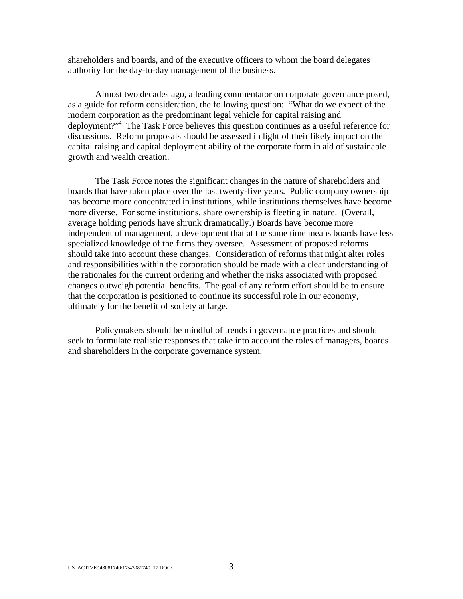shareholders and boards, and of the executive officers to whom the board delegates authority for the day-to-day management of the business.

Almost two decades ago, a leading commentator on corporate governance posed, as a guide for reform consideration, the following question: "What do we expect of the modern corporation as the predominant legal vehicle for capital raising and deployment?"4 The Task Force believes this question continues as a useful reference for discussions. Reform proposals should be assessed in light of their likely impact on the capital raising and capital deployment ability of the corporate form in aid of sustainable growth and wealth creation.

The Task Force notes the significant changes in the nature of shareholders and boards that have taken place over the last twenty-five years. Public company ownership has become more concentrated in institutions, while institutions themselves have become more diverse. For some institutions, share ownership is fleeting in nature. (Overall, average holding periods have shrunk dramatically.) Boards have become more independent of management, a development that at the same time means boards have less specialized knowledge of the firms they oversee. Assessment of proposed reforms should take into account these changes. Consideration of reforms that might alter roles and responsibilities within the corporation should be made with a clear understanding of the rationales for the current ordering and whether the risks associated with proposed changes outweigh potential benefits. The goal of any reform effort should be to ensure that the corporation is positioned to continue its successful role in our economy, ultimately for the benefit of society at large.

Policymakers should be mindful of trends in governance practices and should seek to formulate realistic responses that take into account the roles of managers, boards and shareholders in the corporate governance system.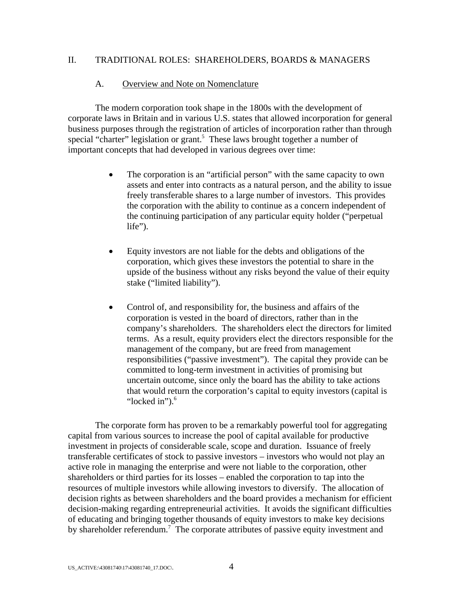### II. TRADITIONAL ROLES: SHAREHOLDERS, BOARDS & MANAGERS

#### A. Overview and Note on Nomenclature

The modern corporation took shape in the 1800s with the development of corporate laws in Britain and in various U.S. states that allowed incorporation for general business purposes through the registration of articles of incorporation rather than through special "charter" legislation or grant.<sup>5</sup> These laws brought together a number of important concepts that had developed in various degrees over time:

- The corporation is an "artificial person" with the same capacity to own assets and enter into contracts as a natural person, and the ability to issue freely transferable shares to a large number of investors. This provides the corporation with the ability to continue as a concern independent of the continuing participation of any particular equity holder ("perpetual life").
- Equity investors are not liable for the debts and obligations of the corporation, which gives these investors the potential to share in the upside of the business without any risks beyond the value of their equity stake ("limited liability").
- Control of, and responsibility for, the business and affairs of the corporation is vested in the board of directors, rather than in the company's shareholders. The shareholders elect the directors for limited terms. As a result, equity providers elect the directors responsible for the management of the company, but are freed from management responsibilities ("passive investment"). The capital they provide can be committed to long-term investment in activities of promising but uncertain outcome, since only the board has the ability to take actions that would return the corporation's capital to equity investors (capital is "locked in" $)$ .<sup>6</sup>

The corporate form has proven to be a remarkably powerful tool for aggregating capital from various sources to increase the pool of capital available for productive investment in projects of considerable scale, scope and duration. Issuance of freely transferable certificates of stock to passive investors – investors who would not play an active role in managing the enterprise and were not liable to the corporation, other shareholders or third parties for its losses – enabled the corporation to tap into the resources of multiple investors while allowing investors to diversify. The allocation of decision rights as between shareholders and the board provides a mechanism for efficient decision-making regarding entrepreneurial activities. It avoids the significant difficulties of educating and bringing together thousands of equity investors to make key decisions by shareholder referendum.<sup>7</sup> The corporate attributes of passive equity investment and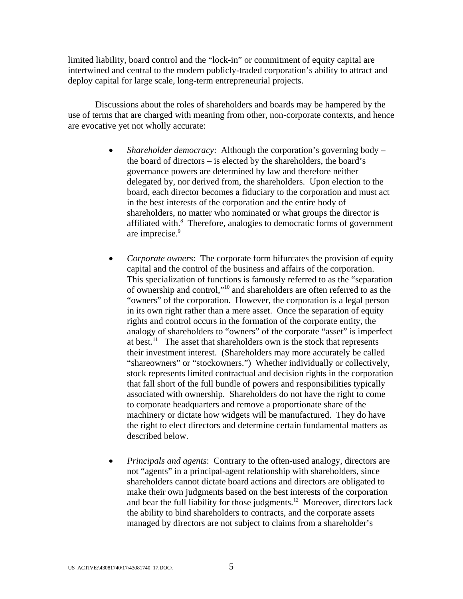limited liability, board control and the "lock-in" or commitment of equity capital are intertwined and central to the modern publicly-traded corporation's ability to attract and deploy capital for large scale, long-term entrepreneurial projects.

Discussions about the roles of shareholders and boards may be hampered by the use of terms that are charged with meaning from other, non-corporate contexts, and hence are evocative yet not wholly accurate:

- *Shareholder democracy*: Although the corporation's governing body the board of directors – is elected by the shareholders, the board's governance powers are determined by law and therefore neither delegated by, nor derived from, the shareholders. Upon election to the board, each director becomes a fiduciary to the corporation and must act in the best interests of the corporation and the entire body of shareholders, no matter who nominated or what groups the director is affiliated with.<sup>8</sup> Therefore, analogies to democratic forms of government are imprecise.<sup>9</sup>
- *Corporate owners*: The corporate form bifurcates the provision of equity capital and the control of the business and affairs of the corporation. This specialization of functions is famously referred to as the "separation of ownership and control,"10 and shareholders are often referred to as the "owners" of the corporation. However, the corporation is a legal person in its own right rather than a mere asset. Once the separation of equity rights and control occurs in the formation of the corporate entity, the analogy of shareholders to "owners" of the corporate "asset" is imperfect at best.<sup>11</sup> The asset that shareholders own is the stock that represents their investment interest. (Shareholders may more accurately be called "shareowners" or "stockowners.") Whether individually or collectively, stock represents limited contractual and decision rights in the corporation that fall short of the full bundle of powers and responsibilities typically associated with ownership. Shareholders do not have the right to come to corporate headquarters and remove a proportionate share of the machinery or dictate how widgets will be manufactured. They do have the right to elect directors and determine certain fundamental matters as described below.
- *Principals and agents*: Contrary to the often-used analogy, directors are not "agents" in a principal-agent relationship with shareholders, since shareholders cannot dictate board actions and directors are obligated to make their own judgments based on the best interests of the corporation and bear the full liability for those judgments.<sup>12</sup> Moreover, directors lack the ability to bind shareholders to contracts, and the corporate assets managed by directors are not subject to claims from a shareholder's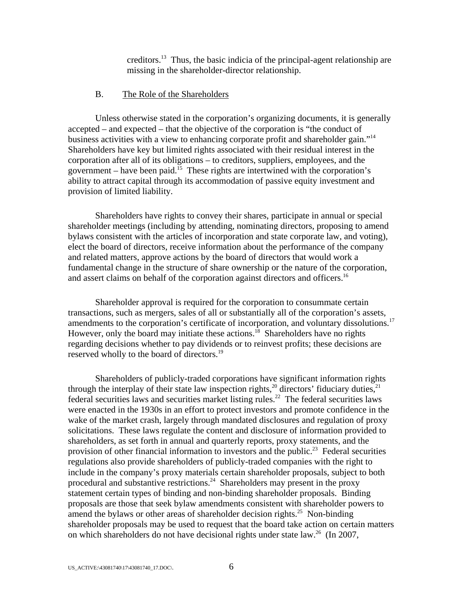creditors.13 Thus, the basic indicia of the principal-agent relationship are missing in the shareholder-director relationship.

#### B. The Role of the Shareholders

Unless otherwise stated in the corporation's organizing documents, it is generally accepted – and expected – that the objective of the corporation is "the conduct of business activities with a view to enhancing corporate profit and shareholder gain."14 Shareholders have key but limited rights associated with their residual interest in the corporation after all of its obligations – to creditors, suppliers, employees, and the government – have been paid.<sup>15</sup> These rights are intertwined with the corporation's ability to attract capital through its accommodation of passive equity investment and provision of limited liability.

Shareholders have rights to convey their shares, participate in annual or special shareholder meetings (including by attending, nominating directors, proposing to amend bylaws consistent with the articles of incorporation and state corporate law, and voting), elect the board of directors, receive information about the performance of the company and related matters, approve actions by the board of directors that would work a fundamental change in the structure of share ownership or the nature of the corporation, and assert claims on behalf of the corporation against directors and officers.<sup>16</sup>

Shareholder approval is required for the corporation to consummate certain transactions, such as mergers, sales of all or substantially all of the corporation's assets, amendments to the corporation's certificate of incorporation, and voluntary dissolutions.<sup>17</sup> However, only the board may initiate these actions.<sup>18</sup> Shareholders have no rights regarding decisions whether to pay dividends or to reinvest profits; these decisions are reserved wholly to the board of directors.<sup>19</sup>

Shareholders of publicly-traded corporations have significant information rights through the interplay of their state law inspection rights,<sup>20</sup> directors' fiduciary duties,<sup>21</sup> federal securities laws and securities market listing rules.<sup>22</sup> The federal securities laws were enacted in the 1930s in an effort to protect investors and promote confidence in the wake of the market crash, largely through mandated disclosures and regulation of proxy solicitations. These laws regulate the content and disclosure of information provided to shareholders, as set forth in annual and quarterly reports, proxy statements, and the provision of other financial information to investors and the public.<sup>23</sup> Federal securities regulations also provide shareholders of publicly-traded companies with the right to include in the company's proxy materials certain shareholder proposals, subject to both procedural and substantive restrictions.<sup>24</sup> Shareholders may present in the proxy statement certain types of binding and non-binding shareholder proposals. Binding proposals are those that seek bylaw amendments consistent with shareholder powers to amend the bylaws or other areas of shareholder decision rights.<sup>25</sup> Non-binding shareholder proposals may be used to request that the board take action on certain matters on which shareholders do not have decisional rights under state law.<sup>26</sup> (In 2007,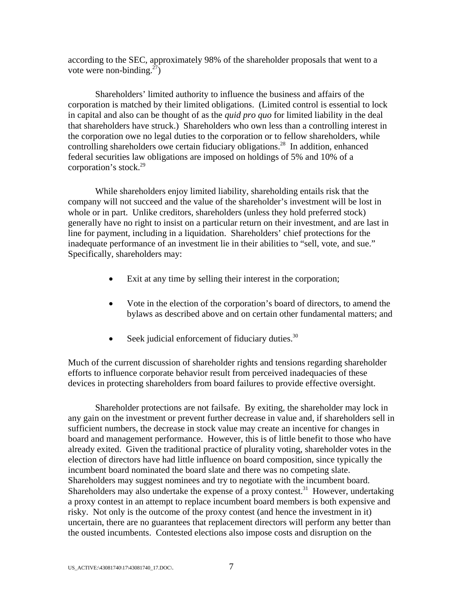according to the SEC, approximately 98% of the shareholder proposals that went to a vote were non-binding.<sup>27</sup>)

Shareholders' limited authority to influence the business and affairs of the corporation is matched by their limited obligations. (Limited control is essential to lock in capital and also can be thought of as the *quid pro quo* for limited liability in the deal that shareholders have struck.) Shareholders who own less than a controlling interest in the corporation owe no legal duties to the corporation or to fellow shareholders, while controlling shareholders owe certain fiduciary obligations.<sup>28</sup> In addition, enhanced federal securities law obligations are imposed on holdings of 5% and 10% of a corporation's stock.<sup>29</sup>

While shareholders enjoy limited liability, shareholding entails risk that the company will not succeed and the value of the shareholder's investment will be lost in whole or in part. Unlike creditors, shareholders (unless they hold preferred stock) generally have no right to insist on a particular return on their investment, and are last in line for payment, including in a liquidation. Shareholders' chief protections for the inadequate performance of an investment lie in their abilities to "sell, vote, and sue." Specifically, shareholders may:

- Exit at any time by selling their interest in the corporation;
- Vote in the election of the corporation's board of directors, to amend the bylaws as described above and on certain other fundamental matters; and
- $\bullet$  Seek judicial enforcement of fiduciary duties.<sup>30</sup>

Much of the current discussion of shareholder rights and tensions regarding shareholder efforts to influence corporate behavior result from perceived inadequacies of these devices in protecting shareholders from board failures to provide effective oversight.

Shareholder protections are not failsafe. By exiting, the shareholder may lock in any gain on the investment or prevent further decrease in value and, if shareholders sell in sufficient numbers, the decrease in stock value may create an incentive for changes in board and management performance. However, this is of little benefit to those who have already exited. Given the traditional practice of plurality voting, shareholder votes in the election of directors have had little influence on board composition, since typically the incumbent board nominated the board slate and there was no competing slate. Shareholders may suggest nominees and try to negotiate with the incumbent board. Shareholders may also undertake the expense of a proxy contest.<sup>31</sup> However, undertaking a proxy contest in an attempt to replace incumbent board members is both expensive and risky. Not only is the outcome of the proxy contest (and hence the investment in it) uncertain, there are no guarantees that replacement directors will perform any better than the ousted incumbents. Contested elections also impose costs and disruption on the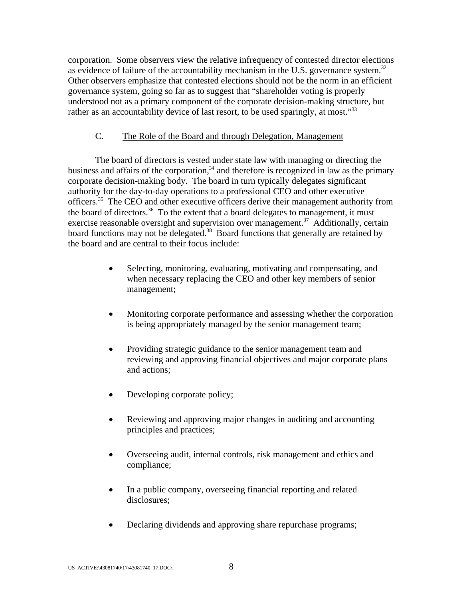corporation. Some observers view the relative infrequency of contested director elections as evidence of failure of the accountability mechanism in the U.S. governance system.<sup>32</sup> Other observers emphasize that contested elections should not be the norm in an efficient governance system, going so far as to suggest that "shareholder voting is properly understood not as a primary component of the corporate decision-making structure, but rather as an accountability device of last resort, to be used sparingly, at most."<sup>33</sup>

### C. The Role of the Board and through Delegation, Management

The board of directors is vested under state law with managing or directing the business and affairs of the corporation, $34$  and therefore is recognized in law as the primary corporate decision-making body. The board in turn typically delegates significant authority for the day-to-day operations to a professional CEO and other executive officers.<sup>35</sup> The CEO and other executive officers derive their management authority from the board of directors.<sup>36</sup> To the extent that a board delegates to management, it must exercise reasonable oversight and supervision over management.<sup>37</sup> Additionally, certain board functions may not be delegated.<sup>38</sup> Board functions that generally are retained by the board and are central to their focus include:

- Selecting, monitoring, evaluating, motivating and compensating, and when necessary replacing the CEO and other key members of senior management;
- Monitoring corporate performance and assessing whether the corporation is being appropriately managed by the senior management team;
- Providing strategic guidance to the senior management team and reviewing and approving financial objectives and major corporate plans and actions;
- Developing corporate policy;
- Reviewing and approving major changes in auditing and accounting principles and practices;
- Overseeing audit, internal controls, risk management and ethics and compliance;
- In a public company, overseeing financial reporting and related disclosures;
- Declaring dividends and approving share repurchase programs;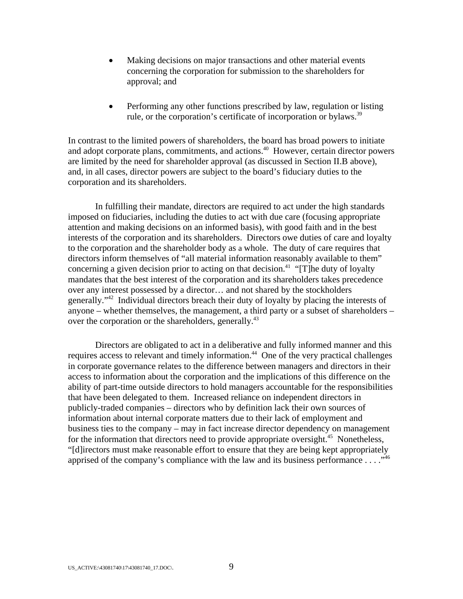- Making decisions on major transactions and other material events concerning the corporation for submission to the shareholders for approval; and
- Performing any other functions prescribed by law, regulation or listing rule, or the corporation's certificate of incorporation or bylaws.<sup>39</sup>

In contrast to the limited powers of shareholders, the board has broad powers to initiate and adopt corporate plans, commitments, and actions.<sup>40</sup> However, certain director powers are limited by the need for shareholder approval (as discussed in Section II.B above), and, in all cases, director powers are subject to the board's fiduciary duties to the corporation and its shareholders.

In fulfilling their mandate, directors are required to act under the high standards imposed on fiduciaries, including the duties to act with due care (focusing appropriate attention and making decisions on an informed basis), with good faith and in the best interests of the corporation and its shareholders. Directors owe duties of care and loyalty to the corporation and the shareholder body as a whole. The duty of care requires that directors inform themselves of "all material information reasonably available to them" concerning a given decision prior to acting on that decision.<sup>41</sup> "[T]he duty of loyalty mandates that the best interest of the corporation and its shareholders takes precedence over any interest possessed by a director… and not shared by the stockholders generally."42 Individual directors breach their duty of loyalty by placing the interests of anyone – whether themselves, the management, a third party or a subset of shareholders – over the corporation or the shareholders, generally.<sup>43</sup>

Directors are obligated to act in a deliberative and fully informed manner and this requires access to relevant and timely information.<sup>44</sup> One of the very practical challenges in corporate governance relates to the difference between managers and directors in their access to information about the corporation and the implications of this difference on the ability of part-time outside directors to hold managers accountable for the responsibilities that have been delegated to them. Increased reliance on independent directors in publicly-traded companies – directors who by definition lack their own sources of information about internal corporate matters due to their lack of employment and business ties to the company – may in fact increase director dependency on management for the information that directors need to provide appropriate oversight.<sup>45</sup> Nonetheless, "[d]irectors must make reasonable effort to ensure that they are being kept appropriately apprised of the company's compliance with the law and its business performance . . . ."<sup>46</sup>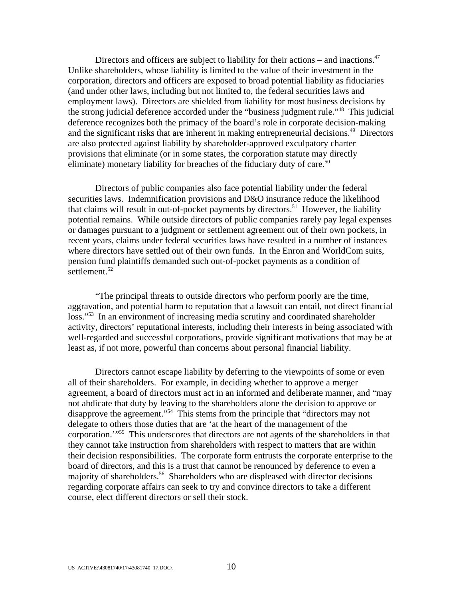Directors and officers are subject to liability for their actions – and inactions.<sup>47</sup> Unlike shareholders, whose liability is limited to the value of their investment in the corporation, directors and officers are exposed to broad potential liability as fiduciaries (and under other laws, including but not limited to, the federal securities laws and employment laws). Directors are shielded from liability for most business decisions by the strong judicial deference accorded under the "business judgment rule."48 This judicial deference recognizes both the primacy of the board's role in corporate decision-making and the significant risks that are inherent in making entrepreneurial decisions.<sup>49</sup> Directors are also protected against liability by shareholder-approved exculpatory charter provisions that eliminate (or in some states, the corporation statute may directly eliminate) monetary liability for breaches of the fiduciary duty of care.<sup>50</sup>

Directors of public companies also face potential liability under the federal securities laws. Indemnification provisions and D&O insurance reduce the likelihood that claims will result in out-of-pocket payments by directors.<sup>51</sup> However, the liability potential remains. While outside directors of public companies rarely pay legal expenses or damages pursuant to a judgment or settlement agreement out of their own pockets, in recent years, claims under federal securities laws have resulted in a number of instances where directors have settled out of their own funds. In the Enron and WorldCom suits, pension fund plaintiffs demanded such out-of-pocket payments as a condition of settlement. $52$ 

"The principal threats to outside directors who perform poorly are the time, aggravation, and potential harm to reputation that a lawsuit can entail, not direct financial loss."<sup>53</sup> In an environment of increasing media scrutiny and coordinated shareholder activity, directors' reputational interests, including their interests in being associated with well-regarded and successful corporations, provide significant motivations that may be at least as, if not more, powerful than concerns about personal financial liability.

Directors cannot escape liability by deferring to the viewpoints of some or even all of their shareholders. For example, in deciding whether to approve a merger agreement, a board of directors must act in an informed and deliberate manner, and "may not abdicate that duty by leaving to the shareholders alone the decision to approve or disapprove the agreement."54 This stems from the principle that "directors may not delegate to others those duties that are 'at the heart of the management of the corporation.'"55 This underscores that directors are not agents of the shareholders in that they cannot take instruction from shareholders with respect to matters that are within their decision responsibilities. The corporate form entrusts the corporate enterprise to the board of directors, and this is a trust that cannot be renounced by deference to even a majority of shareholders.<sup>56</sup> Shareholders who are displeased with director decisions regarding corporate affairs can seek to try and convince directors to take a different course, elect different directors or sell their stock.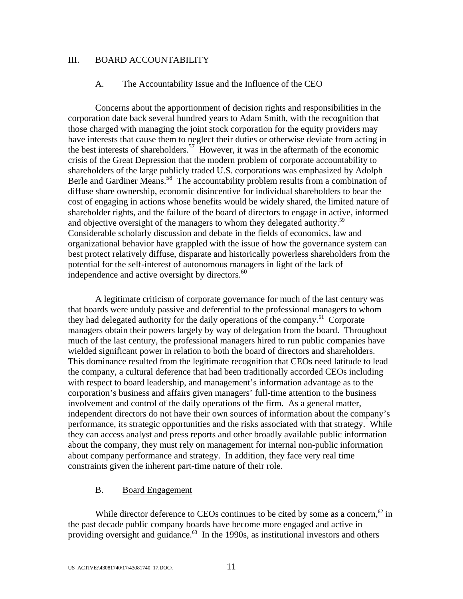### III. BOARD ACCOUNTABILITY

#### A. The Accountability Issue and the Influence of the CEO

Concerns about the apportionment of decision rights and responsibilities in the corporation date back several hundred years to Adam Smith, with the recognition that those charged with managing the joint stock corporation for the equity providers may have interests that cause them to neglect their duties or otherwise deviate from acting in the best interests of shareholders.<sup>57</sup> However, it was in the aftermath of the economic crisis of the Great Depression that the modern problem of corporate accountability to shareholders of the large publicly traded U.S. corporations was emphasized by Adolph Berle and Gardiner Means.<sup>58</sup> The accountability problem results from a combination of diffuse share ownership, economic disincentive for individual shareholders to bear the cost of engaging in actions whose benefits would be widely shared, the limited nature of shareholder rights, and the failure of the board of directors to engage in active, informed and objective oversight of the managers to whom they delegated authority.<sup>59</sup> Considerable scholarly discussion and debate in the fields of economics, law and organizational behavior have grappled with the issue of how the governance system can best protect relatively diffuse, disparate and historically powerless shareholders from the potential for the self-interest of autonomous managers in light of the lack of independence and active oversight by directors.<sup>60</sup>

A legitimate criticism of corporate governance for much of the last century was that boards were unduly passive and deferential to the professional managers to whom they had delegated authority for the daily operations of the company.<sup>61</sup> Corporate managers obtain their powers largely by way of delegation from the board. Throughout much of the last century, the professional managers hired to run public companies have wielded significant power in relation to both the board of directors and shareholders. This dominance resulted from the legitimate recognition that CEOs need latitude to lead the company, a cultural deference that had been traditionally accorded CEOs including with respect to board leadership, and management's information advantage as to the corporation's business and affairs given managers' full-time attention to the business involvement and control of the daily operations of the firm. As a general matter, independent directors do not have their own sources of information about the company's performance, its strategic opportunities and the risks associated with that strategy. While they can access analyst and press reports and other broadly available public information about the company, they must rely on management for internal non-public information about company performance and strategy. In addition, they face very real time constraints given the inherent part-time nature of their role.

### B. Board Engagement

While director deference to CEOs continues to be cited by some as a concern, $62$  in the past decade public company boards have become more engaged and active in providing oversight and guidance. $63$  In the 1990s, as institutional investors and others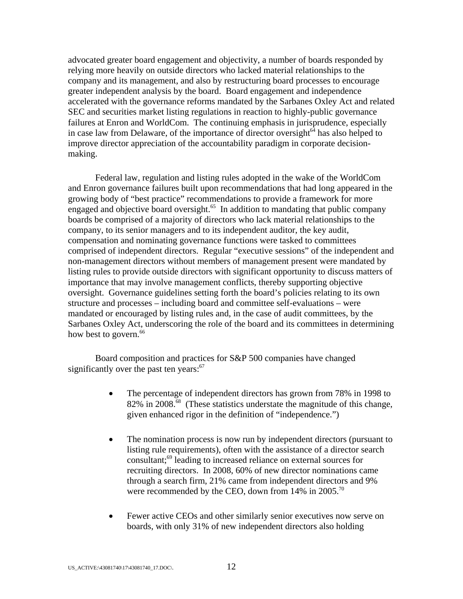advocated greater board engagement and objectivity, a number of boards responded by relying more heavily on outside directors who lacked material relationships to the company and its management, and also by restructuring board processes to encourage greater independent analysis by the board. Board engagement and independence accelerated with the governance reforms mandated by the Sarbanes Oxley Act and related SEC and securities market listing regulations in reaction to highly-public governance failures at Enron and WorldCom. The continuing emphasis in jurisprudence, especially in case law from Delaware, of the importance of director oversight<sup> $64$ </sup> has also helped to improve director appreciation of the accountability paradigm in corporate decisionmaking.

Federal law, regulation and listing rules adopted in the wake of the WorldCom and Enron governance failures built upon recommendations that had long appeared in the growing body of "best practice" recommendations to provide a framework for more engaged and objective board oversight.<sup>65</sup> In addition to mandating that public company boards be comprised of a majority of directors who lack material relationships to the company, to its senior managers and to its independent auditor, the key audit, compensation and nominating governance functions were tasked to committees comprised of independent directors. Regular "executive sessions" of the independent and non-management directors without members of management present were mandated by listing rules to provide outside directors with significant opportunity to discuss matters of importance that may involve management conflicts, thereby supporting objective oversight. Governance guidelines setting forth the board's policies relating to its own structure and processes – including board and committee self-evaluations – were mandated or encouraged by listing rules and, in the case of audit committees, by the Sarbanes Oxley Act, underscoring the role of the board and its committees in determining how best to govern.<sup>66</sup>

Board composition and practices for S&P 500 companies have changed significantly over the past ten years: $67$ 

- The percentage of independent directors has grown from 78% in 1998 to 82% in 2008.<sup>68</sup> (These statistics understate the magnitude of this change, given enhanced rigor in the definition of "independence.")
- The nomination process is now run by independent directors (pursuant to listing rule requirements), often with the assistance of a director search consultant;69 leading to increased reliance on external sources for recruiting directors. In 2008, 60% of new director nominations came through a search firm, 21% came from independent directors and 9% were recommended by the CEO, down from  $14\%$  in  $2005$ .<sup>70</sup>
- Fewer active CEOs and other similarly senior executives now serve on boards, with only 31% of new independent directors also holding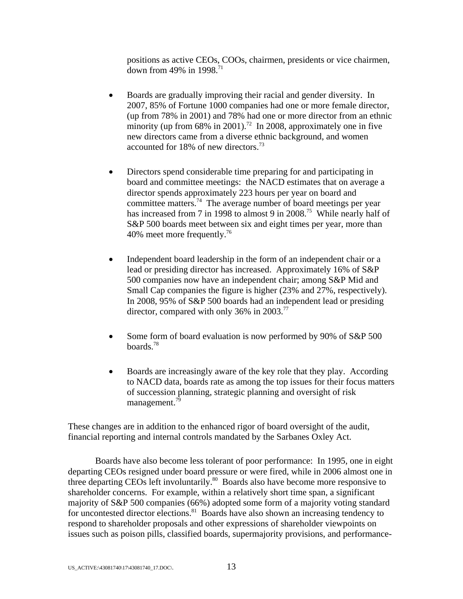positions as active CEOs, COOs, chairmen, presidents or vice chairmen, down from 49% in 1998. $^{71}$ 

- Boards are gradually improving their racial and gender diversity. In 2007, 85% of Fortune 1000 companies had one or more female director, (up from 78% in 2001) and 78% had one or more director from an ethnic minority (up from  $68\%$  in 2001).<sup>72</sup> In 2008, approximately one in five new directors came from a diverse ethnic background, and women accounted for 18% of new directors.73
- Directors spend considerable time preparing for and participating in board and committee meetings: the NACD estimates that on average a director spends approximately 223 hours per year on board and committee matters.<sup>74</sup> The average number of board meetings per year has increased from 7 in 1998 to almost 9 in 2008.<sup>75</sup> While nearly half of S&P 500 boards meet between six and eight times per year, more than 40% meet more frequently.76
- Independent board leadership in the form of an independent chair or a lead or presiding director has increased. Approximately 16% of S&P 500 companies now have an independent chair; among S&P Mid and Small Cap companies the figure is higher (23% and 27%, respectively). In 2008, 95% of S&P 500 boards had an independent lead or presiding director, compared with only 36% in 2003.<sup>77</sup>
- Some form of board evaluation is now performed by 90% of S&P 500 boards.78
- Boards are increasingly aware of the key role that they play. According to NACD data, boards rate as among the top issues for their focus matters of succession planning, strategic planning and oversight of risk management.<sup>79</sup>

These changes are in addition to the enhanced rigor of board oversight of the audit, financial reporting and internal controls mandated by the Sarbanes Oxley Act.

Boards have also become less tolerant of poor performance: In 1995, one in eight departing CEOs resigned under board pressure or were fired, while in 2006 almost one in three departing CEOs left involuntarily.<sup>80</sup> Boards also have become more responsive to shareholder concerns. For example, within a relatively short time span, a significant majority of S&P 500 companies (66%) adopted some form of a majority voting standard for uncontested director elections.<sup>81</sup> Boards have also shown an increasing tendency to respond to shareholder proposals and other expressions of shareholder viewpoints on issues such as poison pills, classified boards, supermajority provisions, and performance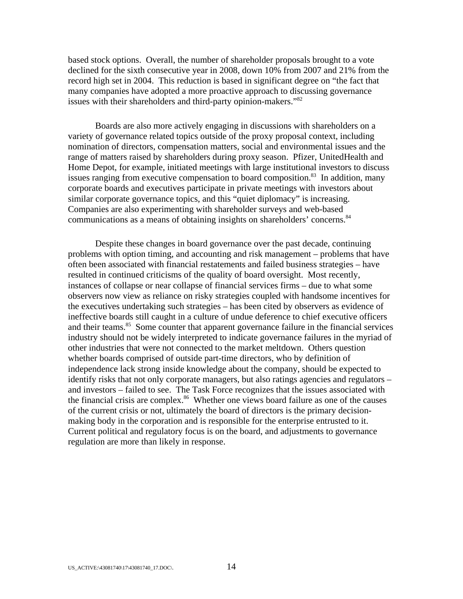based stock options. Overall, the number of shareholder proposals brought to a vote declined for the sixth consecutive year in 2008, down 10% from 2007 and 21% from the record high set in 2004. This reduction is based in significant degree on "the fact that many companies have adopted a more proactive approach to discussing governance issues with their shareholders and third-party opinion-makers."<sup>82</sup>

Boards are also more actively engaging in discussions with shareholders on a variety of governance related topics outside of the proxy proposal context, including nomination of directors, compensation matters, social and environmental issues and the range of matters raised by shareholders during proxy season. Pfizer, UnitedHealth and Home Depot, for example, initiated meetings with large institutional investors to discuss issues ranging from executive compensation to board composition.<sup>83</sup> In addition, many corporate boards and executives participate in private meetings with investors about similar corporate governance topics, and this "quiet diplomacy" is increasing. Companies are also experimenting with shareholder surveys and web-based communications as a means of obtaining insights on shareholders' concerns.<sup>84</sup>

Despite these changes in board governance over the past decade, continuing problems with option timing, and accounting and risk management – problems that have often been associated with financial restatements and failed business strategies – have resulted in continued criticisms of the quality of board oversight. Most recently, instances of collapse or near collapse of financial services firms – due to what some observers now view as reliance on risky strategies coupled with handsome incentives for the executives undertaking such strategies – has been cited by observers as evidence of ineffective boards still caught in a culture of undue deference to chief executive officers and their teams.<sup>85</sup> Some counter that apparent governance failure in the financial services industry should not be widely interpreted to indicate governance failures in the myriad of other industries that were not connected to the market meltdown. Others question whether boards comprised of outside part-time directors, who by definition of independence lack strong inside knowledge about the company, should be expected to identify risks that not only corporate managers, but also ratings agencies and regulators – and investors – failed to see. The Task Force recognizes that the issues associated with the financial crisis are complex.<sup>86</sup> Whether one views board failure as one of the causes of the current crisis or not, ultimately the board of directors is the primary decisionmaking body in the corporation and is responsible for the enterprise entrusted to it. Current political and regulatory focus is on the board, and adjustments to governance regulation are more than likely in response.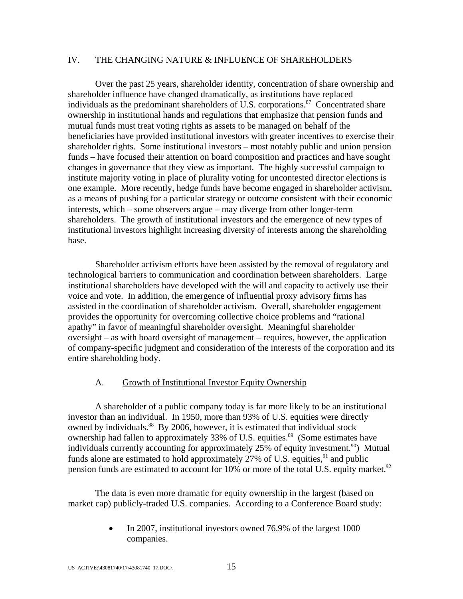### IV. THE CHANGING NATURE & INFLUENCE OF SHAREHOLDERS

Over the past 25 years, shareholder identity, concentration of share ownership and shareholder influence have changed dramatically, as institutions have replaced individuals as the predominant shareholders of U.S. corporations.<sup>87</sup> Concentrated share ownership in institutional hands and regulations that emphasize that pension funds and mutual funds must treat voting rights as assets to be managed on behalf of the beneficiaries have provided institutional investors with greater incentives to exercise their shareholder rights. Some institutional investors – most notably public and union pension funds – have focused their attention on board composition and practices and have sought changes in governance that they view as important. The highly successful campaign to institute majority voting in place of plurality voting for uncontested director elections is one example. More recently, hedge funds have become engaged in shareholder activism, as a means of pushing for a particular strategy or outcome consistent with their economic interests, which – some observers argue – may diverge from other longer-term shareholders. The growth of institutional investors and the emergence of new types of institutional investors highlight increasing diversity of interests among the shareholding base.

Shareholder activism efforts have been assisted by the removal of regulatory and technological barriers to communication and coordination between shareholders. Large institutional shareholders have developed with the will and capacity to actively use their voice and vote. In addition, the emergence of influential proxy advisory firms has assisted in the coordination of shareholder activism. Overall, shareholder engagement provides the opportunity for overcoming collective choice problems and "rational apathy" in favor of meaningful shareholder oversight. Meaningful shareholder oversight – as with board oversight of management – requires, however, the application of company-specific judgment and consideration of the interests of the corporation and its entire shareholding body.

#### A. Growth of Institutional Investor Equity Ownership

A shareholder of a public company today is far more likely to be an institutional investor than an individual. In 1950, more than 93% of U.S. equities were directly owned by individuals.<sup>88</sup> By 2006, however, it is estimated that individual stock ownership had fallen to approximately 33% of U.S. equities.<sup>89</sup> (Some estimates have individuals currently accounting for approximately 25% of equity investment.<sup>90</sup>) Mutual funds alone are estimated to hold approximately  $27\%$  of U.S. equities,  $91$  and public pension funds are estimated to account for 10% or more of the total U.S. equity market.<sup>92</sup>

The data is even more dramatic for equity ownership in the largest (based on market cap) publicly-traded U.S. companies. According to a Conference Board study:

> In 2007, institutional investors owned 76.9% of the largest 1000 companies.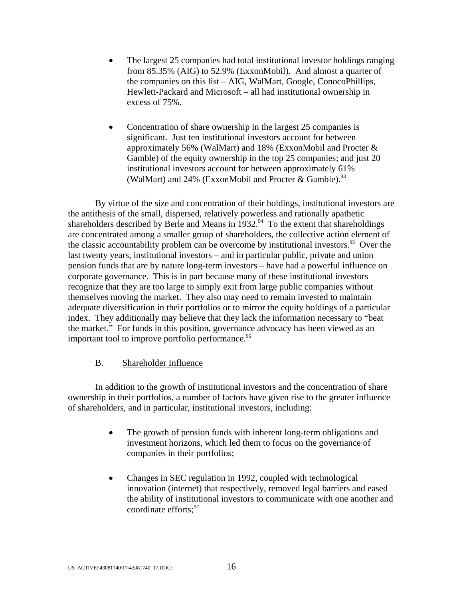- The largest 25 companies had total institutional investor holdings ranging from 85.35% (AIG) to 52.9% (ExxonMobil). And almost a quarter of the companies on this list – AIG, WalMart, Google, ConocoPhillips, Hewlett-Packard and Microsoft – all had institutional ownership in excess of 75%.
- Concentration of share ownership in the largest 25 companies is significant. Just ten institutional investors account for between approximately 56% (WalMart) and 18% (ExxonMobil and Procter & Gamble) of the equity ownership in the top 25 companies; and just 20 institutional investors account for between approximately 61% (WalMart) and 24% (ExxonMobil and Procter & Gamble).<sup>93</sup>

By virtue of the size and concentration of their holdings, institutional investors are the antithesis of the small, dispersed, relatively powerless and rationally apathetic shareholders described by Berle and Means in  $1932.^{94}$  To the extent that shareholdings are concentrated among a smaller group of shareholders, the collective action element of the classic accountability problem can be overcome by institutional investors.<sup>95</sup> Over the last twenty years, institutional investors – and in particular public, private and union pension funds that are by nature long-term investors – have had a powerful influence on corporate governance. This is in part because many of these institutional investors recognize that they are too large to simply exit from large public companies without themselves moving the market. They also may need to remain invested to maintain adequate diversification in their portfolios or to mirror the equity holdings of a particular index. They additionally may believe that they lack the information necessary to "beat the market." For funds in this position, governance advocacy has been viewed as an important tool to improve portfolio performance.<sup>96</sup>

### B. Shareholder Influence

In addition to the growth of institutional investors and the concentration of share ownership in their portfolios, a number of factors have given rise to the greater influence of shareholders, and in particular, institutional investors, including:

- The growth of pension funds with inherent long-term obligations and investment horizons, which led them to focus on the governance of companies in their portfolios;
- Changes in SEC regulation in 1992, coupled with technological innovation (internet) that respectively, removed legal barriers and eased the ability of institutional investors to communicate with one another and coordinate efforts: $97$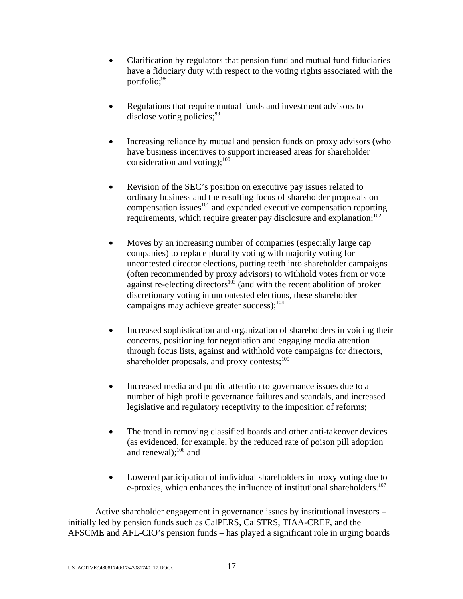- Clarification by regulators that pension fund and mutual fund fiduciaries have a fiduciary duty with respect to the voting rights associated with the portfolio;<sup>98</sup>
- Regulations that require mutual funds and investment advisors to disclose voting policies;  $99$
- Increasing reliance by mutual and pension funds on proxy advisors (who have business incentives to support increased areas for shareholder consideration and voting); $^{100}$
- Revision of the SEC's position on executive pay issues related to ordinary business and the resulting focus of shareholder proposals on compensation issues $^{101}$  and expanded executive compensation reporting requirements, which require greater pay disclosure and explanation;<sup>102</sup>
- Moves by an increasing number of companies (especially large cap companies) to replace plurality voting with majority voting for uncontested director elections, putting teeth into shareholder campaigns (often recommended by proxy advisors) to withhold votes from or vote against re-electing directors<sup> $103$ </sup> (and with the recent abolition of broker discretionary voting in uncontested elections, these shareholder campaigns may achieve greater success); $104$
- Increased sophistication and organization of shareholders in voicing their concerns, positioning for negotiation and engaging media attention through focus lists, against and withhold vote campaigns for directors, shareholder proposals, and proxy contests; $105$
- Increased media and public attention to governance issues due to a number of high profile governance failures and scandals, and increased legislative and regulatory receptivity to the imposition of reforms;
- The trend in removing classified boards and other anti-takeover devices (as evidenced, for example, by the reduced rate of poison pill adoption and renewal); $^{106}$  and
- Lowered participation of individual shareholders in proxy voting due to e-proxies, which enhances the influence of institutional shareholders.<sup>107</sup>

Active shareholder engagement in governance issues by institutional investors – initially led by pension funds such as CalPERS, CalSTRS, TIAA-CREF, and the AFSCME and AFL-CIO's pension funds – has played a significant role in urging boards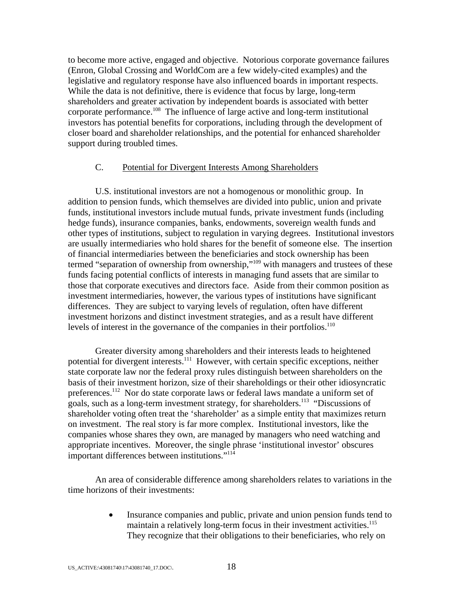to become more active, engaged and objective. Notorious corporate governance failures (Enron, Global Crossing and WorldCom are a few widely-cited examples) and the legislative and regulatory response have also influenced boards in important respects. While the data is not definitive, there is evidence that focus by large, long-term shareholders and greater activation by independent boards is associated with better corporate performance.108 The influence of large active and long-term institutional investors has potential benefits for corporations, including through the development of closer board and shareholder relationships, and the potential for enhanced shareholder support during troubled times.

### C. Potential for Divergent Interests Among Shareholders

U.S. institutional investors are not a homogenous or monolithic group. In addition to pension funds, which themselves are divided into public, union and private funds, institutional investors include mutual funds, private investment funds (including hedge funds), insurance companies, banks, endowments, sovereign wealth funds and other types of institutions, subject to regulation in varying degrees. Institutional investors are usually intermediaries who hold shares for the benefit of someone else. The insertion of financial intermediaries between the beneficiaries and stock ownership has been termed "separation of ownership from ownership,"109 with managers and trustees of these funds facing potential conflicts of interests in managing fund assets that are similar to those that corporate executives and directors face. Aside from their common position as investment intermediaries, however, the various types of institutions have significant differences. They are subject to varying levels of regulation, often have different investment horizons and distinct investment strategies, and as a result have different levels of interest in the governance of the companies in their portfolios.<sup>110</sup>

Greater diversity among shareholders and their interests leads to heightened potential for divergent interests.<sup>111</sup> However, with certain specific exceptions, neither state corporate law nor the federal proxy rules distinguish between shareholders on the basis of their investment horizon, size of their shareholdings or their other idiosyncratic preferences.112 Nor do state corporate laws or federal laws mandate a uniform set of goals, such as a long-term investment strategy, for shareholders.113 "Discussions of shareholder voting often treat the 'shareholder' as a simple entity that maximizes return on investment. The real story is far more complex. Institutional investors, like the companies whose shares they own, are managed by managers who need watching and appropriate incentives. Moreover, the single phrase 'institutional investor' obscures important differences between institutions."<sup>114</sup>

An area of considerable difference among shareholders relates to variations in the time horizons of their investments:

> Insurance companies and public, private and union pension funds tend to maintain a relatively long-term focus in their investment activities.<sup>115</sup> They recognize that their obligations to their beneficiaries, who rely on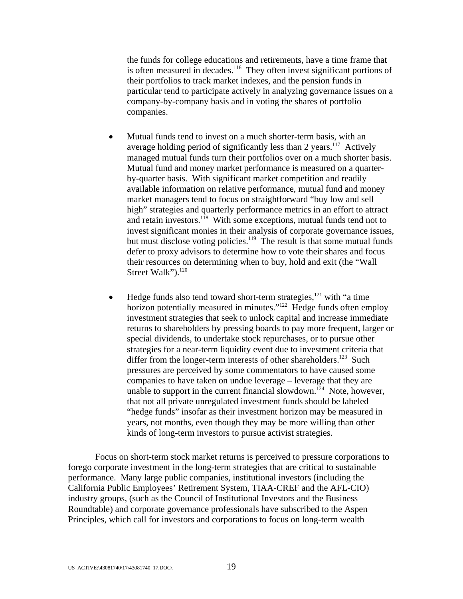the funds for college educations and retirements, have a time frame that is often measured in decades.<sup>116</sup> They often invest significant portions of their portfolios to track market indexes, and the pension funds in particular tend to participate actively in analyzing governance issues on a company-by-company basis and in voting the shares of portfolio companies.

- Mutual funds tend to invest on a much shorter-term basis, with an average holding period of significantly less than 2 years.<sup>117</sup> Actively managed mutual funds turn their portfolios over on a much shorter basis. Mutual fund and money market performance is measured on a quarterby-quarter basis. With significant market competition and readily available information on relative performance, mutual fund and money market managers tend to focus on straightforward "buy low and sell high" strategies and quarterly performance metrics in an effort to attract and retain investors.<sup>118</sup> With some exceptions, mutual funds tend not to invest significant monies in their analysis of corporate governance issues, but must disclose voting policies.<sup>119</sup> The result is that some mutual funds defer to proxy advisors to determine how to vote their shares and focus their resources on determining when to buy, hold and exit (the "Wall Street Walk").<sup>120</sup>
- Hedge funds also tend toward short-term strategies, $121$  with "a time horizon potentially measured in minutes."<sup>122</sup> Hedge funds often employ investment strategies that seek to unlock capital and increase immediate returns to shareholders by pressing boards to pay more frequent, larger or special dividends, to undertake stock repurchases, or to pursue other strategies for a near-term liquidity event due to investment criteria that differ from the longer-term interests of other shareholders.<sup>123</sup> Such pressures are perceived by some commentators to have caused some companies to have taken on undue leverage – leverage that they are unable to support in the current financial slowdown.<sup>124</sup> Note, however, that not all private unregulated investment funds should be labeled "hedge funds" insofar as their investment horizon may be measured in years, not months, even though they may be more willing than other kinds of long-term investors to pursue activist strategies.

Focus on short-term stock market returns is perceived to pressure corporations to forego corporate investment in the long-term strategies that are critical to sustainable performance. Many large public companies, institutional investors (including the California Public Employees' Retirement System, TIAA-CREF and the AFL-CIO) industry groups, (such as the Council of Institutional Investors and the Business Roundtable) and corporate governance professionals have subscribed to the Aspen Principles, which call for investors and corporations to focus on long-term wealth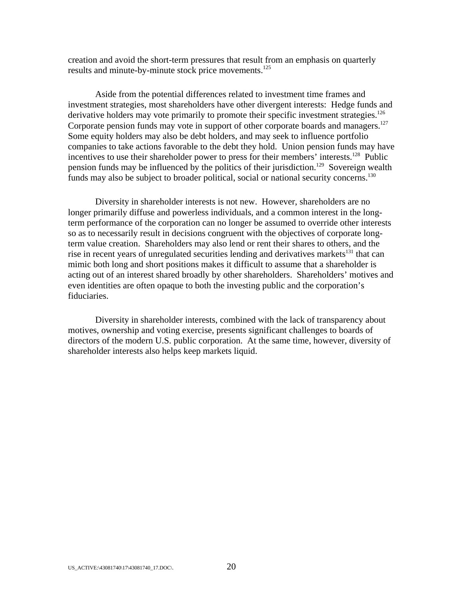creation and avoid the short-term pressures that result from an emphasis on quarterly results and minute-by-minute stock price movements.<sup>125</sup>

Aside from the potential differences related to investment time frames and investment strategies, most shareholders have other divergent interests: Hedge funds and derivative holders may vote primarily to promote their specific investment strategies.<sup>126</sup> Corporate pension funds may vote in support of other corporate boards and managers.<sup>127</sup> Some equity holders may also be debt holders, and may seek to influence portfolio companies to take actions favorable to the debt they hold. Union pension funds may have incentives to use their shareholder power to press for their members' interests.<sup>128</sup> Public pension funds may be influenced by the politics of their jurisdiction.<sup>129</sup> Sovereign wealth funds may also be subject to broader political, social or national security concerns.<sup>130</sup>

Diversity in shareholder interests is not new. However, shareholders are no longer primarily diffuse and powerless individuals, and a common interest in the longterm performance of the corporation can no longer be assumed to override other interests so as to necessarily result in decisions congruent with the objectives of corporate longterm value creation. Shareholders may also lend or rent their shares to others, and the rise in recent years of unregulated securities lending and derivatives markets<sup>131</sup> that can mimic both long and short positions makes it difficult to assume that a shareholder is acting out of an interest shared broadly by other shareholders. Shareholders' motives and even identities are often opaque to both the investing public and the corporation's fiduciaries.

Diversity in shareholder interests, combined with the lack of transparency about motives, ownership and voting exercise, presents significant challenges to boards of directors of the modern U.S. public corporation. At the same time, however, diversity of shareholder interests also helps keep markets liquid.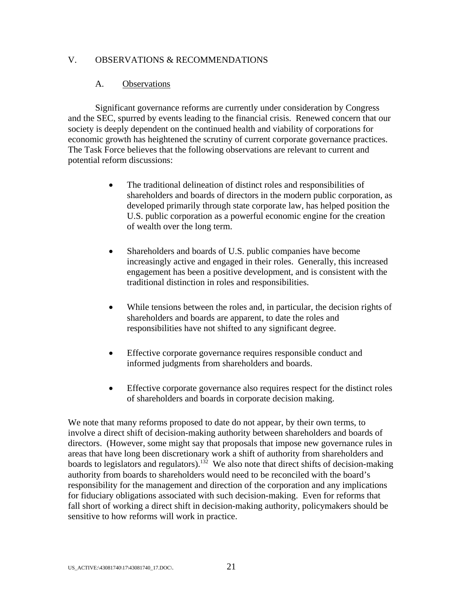### V. OBSERVATIONS & RECOMMENDATIONS

### A. Observations

 Significant governance reforms are currently under consideration by Congress and the SEC, spurred by events leading to the financial crisis. Renewed concern that our society is deeply dependent on the continued health and viability of corporations for economic growth has heightened the scrutiny of current corporate governance practices. The Task Force believes that the following observations are relevant to current and potential reform discussions:

- The traditional delineation of distinct roles and responsibilities of shareholders and boards of directors in the modern public corporation, as developed primarily through state corporate law, has helped position the U.S. public corporation as a powerful economic engine for the creation of wealth over the long term.
- Shareholders and boards of U.S. public companies have become increasingly active and engaged in their roles. Generally, this increased engagement has been a positive development, and is consistent with the traditional distinction in roles and responsibilities.
- While tensions between the roles and, in particular, the decision rights of shareholders and boards are apparent, to date the roles and responsibilities have not shifted to any significant degree.
- Effective corporate governance requires responsible conduct and informed judgments from shareholders and boards.
- Effective corporate governance also requires respect for the distinct roles of shareholders and boards in corporate decision making.

We note that many reforms proposed to date do not appear, by their own terms, to involve a direct shift of decision-making authority between shareholders and boards of directors. (However, some might say that proposals that impose new governance rules in areas that have long been discretionary work a shift of authority from shareholders and boards to legislators and regulators).<sup>132</sup> We also note that direct shifts of decision-making authority from boards to shareholders would need to be reconciled with the board's responsibility for the management and direction of the corporation and any implications for fiduciary obligations associated with such decision-making. Even for reforms that fall short of working a direct shift in decision-making authority, policymakers should be sensitive to how reforms will work in practice.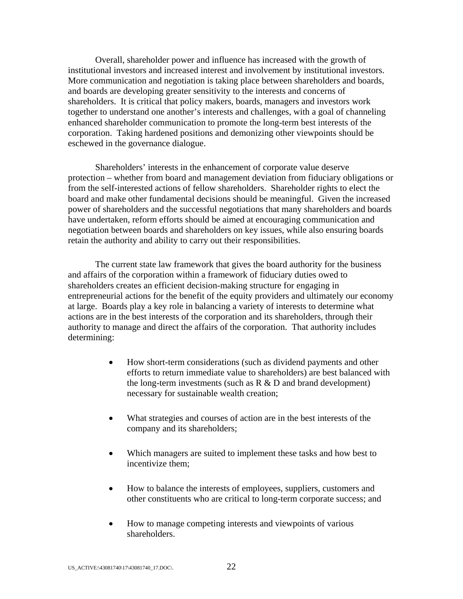Overall, shareholder power and influence has increased with the growth of institutional investors and increased interest and involvement by institutional investors. More communication and negotiation is taking place between shareholders and boards, and boards are developing greater sensitivity to the interests and concerns of shareholders. It is critical that policy makers, boards, managers and investors work together to understand one another's interests and challenges, with a goal of channeling enhanced shareholder communication to promote the long-term best interests of the corporation. Taking hardened positions and demonizing other viewpoints should be eschewed in the governance dialogue.

Shareholders' interests in the enhancement of corporate value deserve protection – whether from board and management deviation from fiduciary obligations or from the self-interested actions of fellow shareholders. Shareholder rights to elect the board and make other fundamental decisions should be meaningful. Given the increased power of shareholders and the successful negotiations that many shareholders and boards have undertaken, reform efforts should be aimed at encouraging communication and negotiation between boards and shareholders on key issues, while also ensuring boards retain the authority and ability to carry out their responsibilities.

The current state law framework that gives the board authority for the business and affairs of the corporation within a framework of fiduciary duties owed to shareholders creates an efficient decision-making structure for engaging in entrepreneurial actions for the benefit of the equity providers and ultimately our economy at large. Boards play a key role in balancing a variety of interests to determine what actions are in the best interests of the corporation and its shareholders, through their authority to manage and direct the affairs of the corporation. That authority includes determining:

- How short-term considerations (such as dividend payments and other efforts to return immediate value to shareholders) are best balanced with the long-term investments (such as  $R \& D$  and brand development) necessary for sustainable wealth creation;
- What strategies and courses of action are in the best interests of the company and its shareholders;
- Which managers are suited to implement these tasks and how best to incentivize them;
- How to balance the interests of employees, suppliers, customers and other constituents who are critical to long-term corporate success; and
- How to manage competing interests and viewpoints of various shareholders.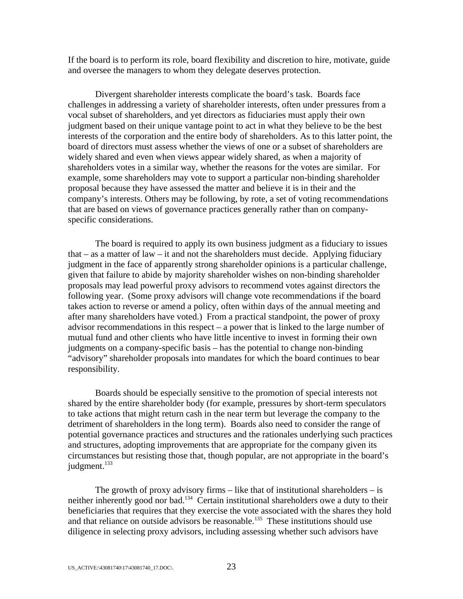If the board is to perform its role, board flexibility and discretion to hire, motivate, guide and oversee the managers to whom they delegate deserves protection.

 Divergent shareholder interests complicate the board's task. Boards face challenges in addressing a variety of shareholder interests, often under pressures from a vocal subset of shareholders, and yet directors as fiduciaries must apply their own judgment based on their unique vantage point to act in what they believe to be the best interests of the corporation and the entire body of shareholders. As to this latter point, the board of directors must assess whether the views of one or a subset of shareholders are widely shared and even when views appear widely shared, as when a majority of shareholders votes in a similar way, whether the reasons for the votes are similar. For example, some shareholders may vote to support a particular non-binding shareholder proposal because they have assessed the matter and believe it is in their and the company's interests. Others may be following, by rote, a set of voting recommendations that are based on views of governance practices generally rather than on companyspecific considerations.

The board is required to apply its own business judgment as a fiduciary to issues that – as a matter of law – it and not the shareholders must decide. Applying fiduciary judgment in the face of apparently strong shareholder opinions is a particular challenge, given that failure to abide by majority shareholder wishes on non-binding shareholder proposals may lead powerful proxy advisors to recommend votes against directors the following year. (Some proxy advisors will change vote recommendations if the board takes action to reverse or amend a policy, often within days of the annual meeting and after many shareholders have voted.) From a practical standpoint, the power of proxy advisor recommendations in this respect – a power that is linked to the large number of mutual fund and other clients who have little incentive to invest in forming their own judgments on a company-specific basis – has the potential to change non-binding "advisory" shareholder proposals into mandates for which the board continues to bear responsibility.

Boards should be especially sensitive to the promotion of special interests not shared by the entire shareholder body (for example, pressures by short-term speculators to take actions that might return cash in the near term but leverage the company to the detriment of shareholders in the long term). Boards also need to consider the range of potential governance practices and structures and the rationales underlying such practices and structures, adopting improvements that are appropriate for the company given its circumstances but resisting those that, though popular, are not appropriate in the board's judgment.<sup>133</sup>

The growth of proxy advisory firms  $-$  like that of institutional shareholders  $-$  is neither inherently good nor bad.<sup>134</sup> Certain institutional shareholders owe a duty to their beneficiaries that requires that they exercise the vote associated with the shares they hold and that reliance on outside advisors be reasonable.<sup>135</sup> These institutions should use diligence in selecting proxy advisors, including assessing whether such advisors have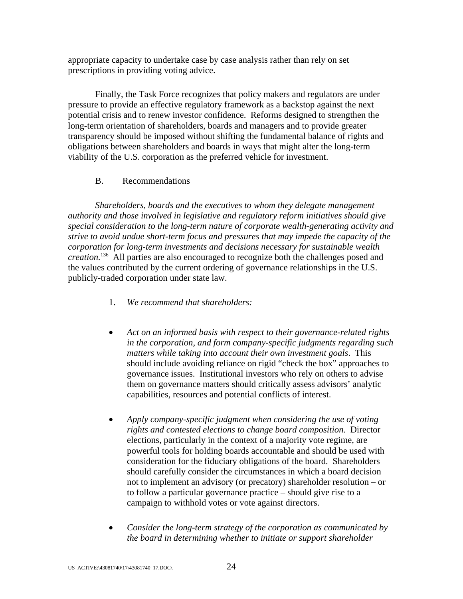appropriate capacity to undertake case by case analysis rather than rely on set prescriptions in providing voting advice.

Finally, the Task Force recognizes that policy makers and regulators are under pressure to provide an effective regulatory framework as a backstop against the next potential crisis and to renew investor confidence. Reforms designed to strengthen the long-term orientation of shareholders, boards and managers and to provide greater transparency should be imposed without shifting the fundamental balance of rights and obligations between shareholders and boards in ways that might alter the long-term viability of the U.S. corporation as the preferred vehicle for investment.

## B. Recommendations

*Shareholders, boards and the executives to whom they delegate management authority and those involved in legislative and regulatory reform initiatives should give special consideration to the long-term nature of corporate wealth-generating activity and strive to avoid undue short-term focus and pressures that may impede the capacity of the corporation for long-term investments and decisions necessary for sustainable wealth creation.*136 All parties are also encouraged to recognize both the challenges posed and the values contributed by the current ordering of governance relationships in the U.S. publicly-traded corporation under state law.

- 1. *We recommend that shareholders:*
- *Act on an informed basis with respect to their governance-related rights in the corporation, and form company-specific judgments regarding such matters while taking into account their own investment goals*.This should include avoiding reliance on rigid "check the box" approaches to governance issues. Institutional investors who rely on others to advise them on governance matters should critically assess advisors' analytic capabilities, resources and potential conflicts of interest.
- *Apply company-specific judgment when considering the use of voting rights and contested elections to change board composition.* Director elections, particularly in the context of a majority vote regime, are powerful tools for holding boards accountable and should be used with consideration for the fiduciary obligations of the board. Shareholders should carefully consider the circumstances in which a board decision not to implement an advisory (or precatory) shareholder resolution – or to follow a particular governance practice – should give rise to a campaign to withhold votes or vote against directors.
- *Consider the long-term strategy of the corporation as communicated by the board in determining whether to initiate or support shareholder*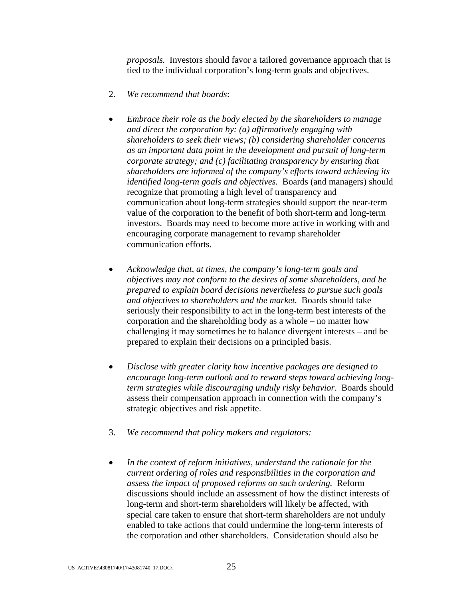*proposals.* Investors should favor a tailored governance approach that is tied to the individual corporation's long-term goals and objectives.

- 2. *We recommend that boards*:
- *Embrace their role as the body elected by the shareholders to manage and direct the corporation by: (a) affirmatively engaging with shareholders to seek their views; (b) considering shareholder concerns as an important data point in the development and pursuit of long-term corporate strategy; and (c) facilitating transparency by ensuring that shareholders are informed of the company's efforts toward achieving its identified long-term goals and objectives.* Boards (and managers) should recognize that promoting a high level of transparency and communication about long-term strategies should support the near-term value of the corporation to the benefit of both short-term and long-term investors. Boards may need to become more active in working with and encouraging corporate management to revamp shareholder communication efforts.
- *Acknowledge that, at times, the company's long-term goals and objectives may not conform to the desires of some shareholders, and be prepared to explain board decisions nevertheless to pursue such goals and objectives to shareholders and the market.*Boards should take seriously their responsibility to act in the long-term best interests of the corporation and the shareholding body as a whole – no matter how challenging it may sometimes be to balance divergent interests – and be prepared to explain their decisions on a principled basis.
- *Disclose with greater clarity how incentive packages are designed to encourage long-term outlook and to reward steps toward achieving longterm strategies while discouraging unduly risky behavior*. Boards should assess their compensation approach in connection with the company's strategic objectives and risk appetite.
- 3. *We recommend that policy makers and regulators:*
- *In the context of reform initiatives, understand the rationale for the current ordering of roles and responsibilities in the corporation and assess the impact of proposed reforms on such ordering.*Reform discussions should include an assessment of how the distinct interests of long-term and short-term shareholders will likely be affected, with special care taken to ensure that short-term shareholders are not unduly enabled to take actions that could undermine the long-term interests of the corporation and other shareholders. Consideration should also be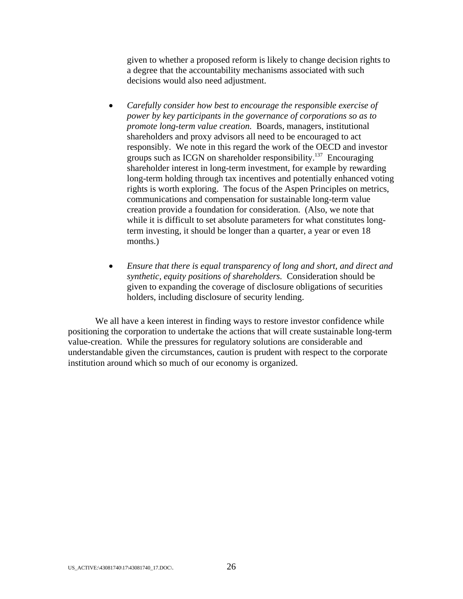given to whether a proposed reform is likely to change decision rights to a degree that the accountability mechanisms associated with such decisions would also need adjustment.

- *Carefully consider how best to encourage the responsible exercise of power by key participants in the governance of corporations so as to promote long-term value creation.* Boards, managers, institutional shareholders and proxy advisors all need to be encouraged to act responsibly. We note in this regard the work of the OECD and investor groups such as ICGN on shareholder responsibility.137Encouraging shareholder interest in long-term investment, for example by rewarding long-term holding through tax incentives and potentially enhanced voting rights is worth exploring. The focus of the Aspen Principles on metrics, communications and compensation for sustainable long-term value creation provide a foundation for consideration. (Also, we note that while it is difficult to set absolute parameters for what constitutes longterm investing, it should be longer than a quarter, a year or even 18 months.)
- *Ensure that there is equal transparency of long and short, and direct and synthetic, equity positions of shareholders.* Consideration should be given to expanding the coverage of disclosure obligations of securities holders, including disclosure of security lending.

We all have a keen interest in finding ways to restore investor confidence while positioning the corporation to undertake the actions that will create sustainable long-term value-creation. While the pressures for regulatory solutions are considerable and understandable given the circumstances, caution is prudent with respect to the corporate institution around which so much of our economy is organized.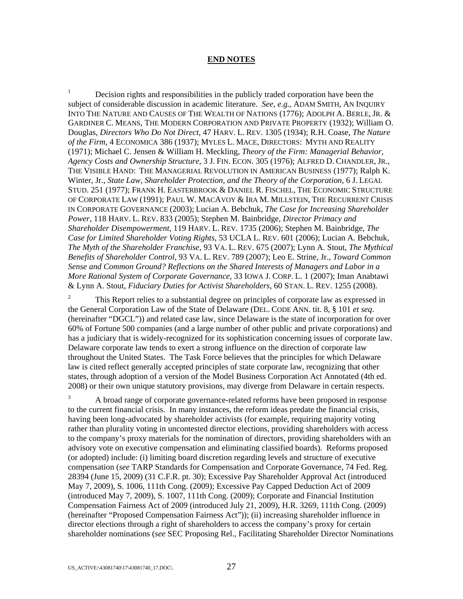#### **END NOTES**

1 Decision rights and responsibilities in the publicly traded corporation have been the subject of considerable discussion in academic literature. *See, e.g.*, ADAM SMITH, AN INQUIRY INTO THE NATURE AND CAUSES OF THE WEALTH OF NATIONS (1776); ADOLPH A. BERLE, JR. & GARDINER C. MEANS, THE MODERN CORPORATION AND PRIVATE PROPERTY (1932); William O. Douglas, *Directors Who Do Not Direct*, 47 HARV. L. REV. 1305 (1934); R.H. Coase, *The Nature of the Firm*, 4 ECONOMICA 386 (1937); MYLES L. MACE, DIRECTORS: MYTH AND REALITY (1971); Michael C. Jensen & William H. Meckling, *Theory of the Firm: Managerial Behavior, Agency Costs and Ownership Structure*, 3 J. FIN. ECON. 305 (1976); ALFRED D. CHANDLER, JR., THE VISIBLE HAND: THE MANAGERIAL REVOLUTION IN AMERICAN BUSINESS (1977); Ralph K. Winter, Jr., *State Law, Shareholder Protection, and the Theory of the Corporation*, 6 J. LEGAL STUD. 251 (1977); FRANK H. EASTERBROOK & DANIEL R. FISCHEL, THE ECONOMIC STRUCTURE OF CORPORATE LAW (1991); PAUL W. MACAVOY & IRA M. MILLSTEIN, THE RECURRENT CRISIS IN CORPORATE GOVERNANCE (2003); Lucian A. Bebchuk, *The Case for Increasing Shareholder Power*, 118 HARV. L. REV. 833 (2005); Stephen M. Bainbridge, *Director Primacy and Shareholder Disempowerment*, 119 HARV. L. REV. 1735 (2006); Stephen M. Bainbridge, *The Case for Limited Shareholder Voting Rights*, 53 UCLA L. REV. 601 (2006); Lucian A. Bebchuk, *The Myth of the Shareholder Franchise*, 93 VA. L. REV. 675 (2007); Lynn A. Stout, *The Mythical Benefits of Shareholder Control*, 93 VA. L. REV. 789 (2007); Leo E. Strine, Jr., *Toward Common Sense and Common Ground? Reflections on the Shared Interests of Managers and Labor in a More Rational System of Corporate Governance*, 33 IOWA J. CORP. L. 1 (2007); Iman Anabtawi & Lynn A. Stout, *Fiduciary Duties for Activist Shareholders*, 60 STAN. L. REV. 1255 (2008).

2 This Report relies to a substantial degree on principles of corporate law as expressed in the General Corporation Law of the State of Delaware (DEL. CODE ANN. tit. 8, § 101 *et seq*. (hereinafter "DGCL")) and related case law, since Delaware is the state of incorporation for over 60% of Fortune 500 companies (and a large number of other public and private corporations) and has a judiciary that is widely-recognized for its sophistication concerning issues of corporate law. Delaware corporate law tends to exert a strong influence on the direction of corporate law throughout the United States. The Task Force believes that the principles for which Delaware law is cited reflect generally accepted principles of state corporate law, recognizing that other states, through adoption of a version of the Model Business Corporation Act Annotated (4th ed. 2008) or their own unique statutory provisions, may diverge from Delaware in certain respects.

3 A broad range of corporate governance-related reforms have been proposed in response to the current financial crisis. In many instances, the reform ideas predate the financial crisis, having been long-advocated by shareholder activists (for example, requiring majority voting rather than plurality voting in uncontested director elections, providing shareholders with access to the company's proxy materials for the nomination of directors, providing shareholders with an advisory vote on executive compensation and eliminating classified boards). Reforms proposed (or adopted) include: (i) limiting board discretion regarding levels and structure of executive compensation (*see* TARP Standards for Compensation and Corporate Governance, 74 Fed. Reg. 28394 (June 15, 2009) (31 C.F.R. pt. 30); Excessive Pay Shareholder Approval Act (introduced May 7, 2009), S. 1006, 111th Cong. (2009); Excessive Pay Capped Deduction Act of 2009 (introduced May 7, 2009), S. 1007, 111th Cong. (2009); Corporate and Financial Institution Compensation Fairness Act of 2009 (introduced July 21, 2009), H.R. 3269, 111th Cong. (2009) (hereinafter "Proposed Compensation Fairness Act")); (ii) increasing shareholder influence in director elections through a right of shareholders to access the company's proxy for certain shareholder nominations (*see* SEC Proposing Rel., Facilitating Shareholder Director Nominations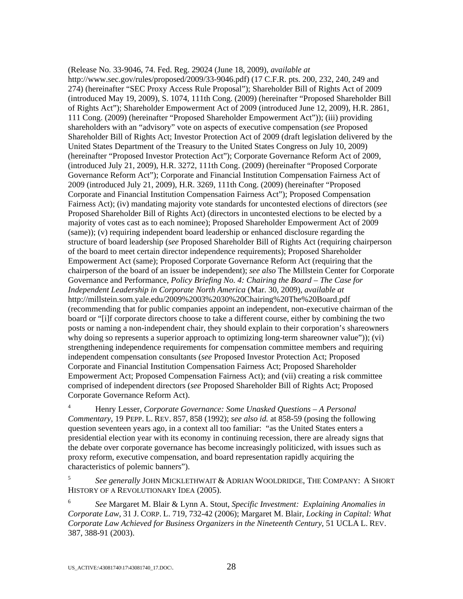(Release No. 33-9046, 74. Fed. Reg. 29024 (June 18, 2009), *available at* http://www.sec.gov/rules/proposed/2009/33-9046.pdf) (17 C.F.R. pts. 200, 232, 240, 249 and 274) (hereinafter "SEC Proxy Access Rule Proposal"); Shareholder Bill of Rights Act of 2009 (introduced May 19, 2009), S. 1074, 111th Cong. (2009) (hereinafter "Proposed Shareholder Bill of Rights Act"); Shareholder Empowerment Act of 2009 (introduced June 12, 2009), H.R. 2861, 111 Cong. (2009) (hereinafter "Proposed Shareholder Empowerment Act")); (iii) providing shareholders with an "advisory" vote on aspects of executive compensation (*see* Proposed Shareholder Bill of Rights Act; Investor Protection Act of 2009 (draft legislation delivered by the United States Department of the Treasury to the United States Congress on July 10, 2009) (hereinafter "Proposed Investor Protection Act"); Corporate Governance Reform Act of 2009, (introduced July 21, 2009), H.R. 3272, 111th Cong. (2009) (hereinafter "Proposed Corporate Governance Reform Act"); Corporate and Financial Institution Compensation Fairness Act of 2009 (introduced July 21, 2009), H.R. 3269, 111th Cong. (2009) (hereinafter "Proposed Corporate and Financial Institution Compensation Fairness Act"); Proposed Compensation Fairness Act); (iv) mandating majority vote standards for uncontested elections of directors (*see*  Proposed Shareholder Bill of Rights Act) (directors in uncontested elections to be elected by a majority of votes cast as to each nominee); Proposed Shareholder Empowerment Act of 2009 (same)); (v) requiring independent board leadership or enhanced disclosure regarding the structure of board leadership (*see* Proposed Shareholder Bill of Rights Act (requiring chairperson of the board to meet certain director independence requirements); Proposed Shareholder Empowerment Act (same); Proposed Corporate Governance Reform Act (requiring that the chairperson of the board of an issuer be independent); *see also* The Millstein Center for Corporate Governance and Performance, *Policy Briefing No. 4: Chairing the Board – The Case for Independent Leadership in Corporate North America* (Mar. 30, 2009), *available at* http://millstein.som.yale.edu/2009%2003%2030%20Chairing%20The%20Board.pdf (recommending that for public companies appoint an independent, non-executive chairman of the board or "[i]f corporate directors choose to take a different course, either by combining the two posts or naming a non-independent chair, they should explain to their corporation's shareowners why doing so represents a superior approach to optimizing long-term shareowner value")); (vi) strengthening independence requirements for compensation committee members and requiring independent compensation consultants (*see* Proposed Investor Protection Act; Proposed Corporate and Financial Institution Compensation Fairness Act; Proposed Shareholder Empowerment Act; Proposed Compensation Fairness Act); and (vii) creating a risk committee comprised of independent directors (*see* Proposed Shareholder Bill of Rights Act; Proposed Corporate Governance Reform Act).

4 Henry Lesser, *Corporate Governance: Some Unasked Questions – A Personal Commentary*, 19 PEPP. L. REV. 857, 858 (1992); *see also id.* at 858-59 (posing the following question seventeen years ago, in a context all too familiar: "as the United States enters a presidential election year with its economy in continuing recession, there are already signs that the debate over corporate governance has become increasingly politicized, with issues such as proxy reform, executive compensation, and board representation rapidly acquiring the characteristics of polemic banners").

<sup>5</sup> *See generally* JOHN MICKLETHWAIT & ADRIAN WOOLDRIDGE, THE COMPANY: A SHORT HISTORY OF A REVOLUTIONARY IDEA (2005).

<sup>6</sup> *See* Margaret M. Blair & Lynn A. Stout, *Specific Investment: Explaining Anomalies in Corporate Law*, 31 J. CORP. L. 719, 732-42 (2006); Margaret M. Blair, *Locking in Capital: What Corporate Law Achieved for Business Organizers in the Nineteenth Century*, 51 UCLA L. REV. 387, 388-91 (2003).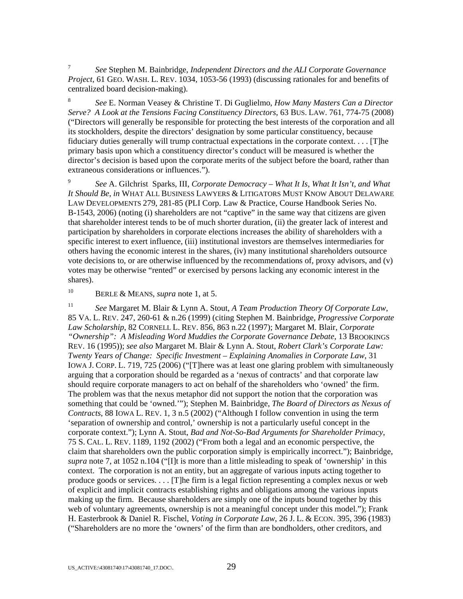<sup>7</sup> *See* Stephen M. Bainbridge, *Independent Directors and the ALI Corporate Governance Project*, 61 GEO. WASH. L. REV. 1034, 1053-56 (1993) (discussing rationales for and benefits of centralized board decision-making).

<sup>8</sup> *See* E. Norman Veasey & Christine T. Di Guglielmo, *How Many Masters Can a Director Serve? A Look at the Tensions Facing Constituency Directors*, 63 BUS. LAW. 761, 774-75 (2008) ("Directors will generally be responsible for protecting the best interests of the corporation and all its stockholders, despite the directors' designation by some particular constituency, because fiduciary duties generally will trump contractual expectations in the corporate context. . . . [T]he primary basis upon which a constituency director's conduct will be measured is whether the director's decision is based upon the corporate merits of the subject before the board, rather than extraneous considerations or influences.").

9 *See* A. Gilchrist Sparks, III, *Corporate Democracy – What It Is, What It Isn't, and What It Should Be*, *in* WHAT ALL BUSINESS LAWYERS & LITIGATORS MUST KNOW ABOUT DELAWARE LAW DEVELOPMENTS 279, 281-85 (PLI Corp. Law & Practice, Course Handbook Series No. B-1543, 2006) (noting (i) shareholders are not "captive" in the same way that citizens are given that shareholder interest tends to be of much shorter duration, (ii) the greater lack of interest and participation by shareholders in corporate elections increases the ability of shareholders with a specific interest to exert influence, (iii) institutional investors are themselves intermediaries for others having the economic interest in the shares, (iv) many institutional shareholders outsource vote decisions to, or are otherwise influenced by the recommendations of, proxy advisors, and (v) votes may be otherwise "rented" or exercised by persons lacking any economic interest in the shares).

10 BERLE & MEANS, *supra* note 1, at 5.

<sup>11</sup> *See* Margaret M. Blair & Lynn A. Stout, *A Team Production Theory Of Corporate Law*, 85 VA. L. REV. 247, 260-61 & n.26 (1999) (citing Stephen M. Bainbridge, *Progressive Corporate Law Scholarship*, 82 CORNELL L. REV. 856, 863 n.22 (1997); Margaret M. Blair, *Corporate "Ownership": A Misleading Word Muddies the Corporate Governance Debate*, 13 BROOKINGS REV. 16 (1995)); *see also* Margaret M. Blair & Lynn A. Stout, *Robert Clark's Corporate Law: Twenty Years of Change: Specific Investment – Explaining Anomalies in Corporate Law*, 31 IOWA J. CORP. L. 719, 725 (2006) ("[T]here was at least one glaring problem with simultaneously arguing that a corporation should be regarded as a 'nexus of contracts' and that corporate law should require corporate managers to act on behalf of the shareholders who 'owned' the firm. The problem was that the nexus metaphor did not support the notion that the corporation was something that could be 'owned.'"); Stephen M. Bainbridge, *The Board of Directors as Nexus of Contracts*, 88 IOWA L. REV. 1, 3 n.5 (2002) ("Although I follow convention in using the term 'separation of ownership and control,' ownership is not a particularly useful concept in the corporate context."); Lynn A. Stout, *Bad and Not-So-Bad Arguments for Shareholder Primacy*, 75 S. CAL. L. REV. 1189, 1192 (2002) ("From both a legal and an economic perspective, the claim that shareholders own the public corporation simply is empirically incorrect."); Bainbridge, *supra* note 7, at 1052 n.104 ("[I]t is more than a little misleading to speak of 'ownership' in this context. The corporation is not an entity, but an aggregate of various inputs acting together to produce goods or services. . . . [T]he firm is a legal fiction representing a complex nexus or web of explicit and implicit contracts establishing rights and obligations among the various inputs making up the firm. Because shareholders are simply one of the inputs bound together by this web of voluntary agreements, ownership is not a meaningful concept under this model."); Frank H. Easterbrook & Daniel R. Fischel, *Voting in Corporate Law*, 26 J. L. & ECON. 395, 396 (1983) ("Shareholders are no more the 'owners' of the firm than are bondholders, other creditors, and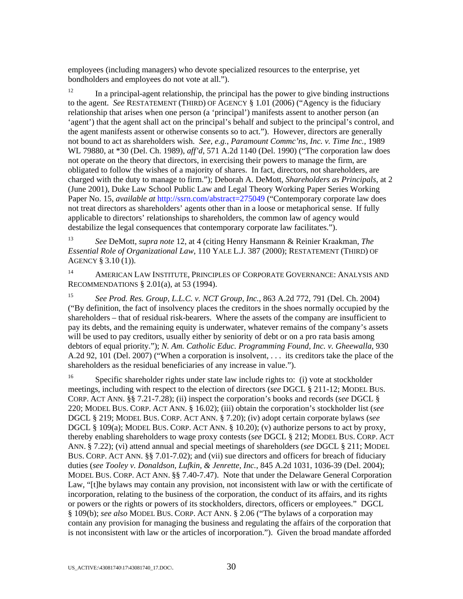employees (including managers) who devote specialized resources to the enterprise, yet bondholders and employees do not vote at all.").

 $12$  In a principal-agent relationship, the principal has the power to give binding instructions to the agent. *See* RESTATEMENT (THIRD) OF AGENCY § 1.01 (2006) ("Agency is the fiduciary relationship that arises when one person (a 'principal') manifests assent to another person (an 'agent') that the agent shall act on the principal's behalf and subject to the principal's control, and the agent manifests assent or otherwise consents so to act."). However, directors are generally not bound to act as shareholders wish. *See, e.g.*, *Paramount Commc'ns, Inc. v. Time Inc.*, 1989 WL 79880, at \*30 (Del. Ch. 1989), *aff'd*, 571 A.2d 1140 (Del. 1990) ("The corporation law does not operate on the theory that directors, in exercising their powers to manage the firm, are obligated to follow the wishes of a majority of shares. In fact, directors, not shareholders, are charged with the duty to manage to firm."); Deborah A. DeMott, *Shareholders as Principals*, at 2 (June 2001), Duke Law School Public Law and Legal Theory Working Paper Series Working Paper No. 15, *available at* http://ssrn.com/abstract=275049 ("Contemporary corporate law does not treat directors as shareholders' agents other than in a loose or metaphorical sense. If fully applicable to directors' relationships to shareholders, the common law of agency would destabilize the legal consequences that contemporary corporate law facilitates.").

<sup>13</sup> *See* DeMott, *supra note* 12, at 4 (citing Henry Hansmann & Reinier Kraakman, *The Essential Role of Organizational Law*, 110 YALE L.J. 387 (2000); RESTATEMENT (THIRD) OF AGENCY § 3.10 (1)).

14 AMERICAN LAW INSTITUTE, PRINCIPLES OF CORPORATE GOVERNANCE: ANALYSIS AND RECOMMENDATIONS § 2.01(a), at 53 (1994).

<sup>15</sup> *See Prod. Res. Group, L.L.C. v. NCT Group, Inc.*, 863 A.2d 772, 791 (Del. Ch. 2004) ("By definition, the fact of insolvency places the creditors in the shoes normally occupied by the shareholders – that of residual risk-bearers. Where the assets of the company are insufficient to pay its debts, and the remaining equity is underwater, whatever remains of the company's assets will be used to pay creditors, usually either by seniority of debt or on a pro rata basis among debtors of equal priority."); *N. Am. Catholic Educ. Programming Found, Inc. v. Gheewalla*, 930 A.2d 92, 101 (Del. 2007) ("When a corporation is insolvent, . . . its creditors take the place of the shareholders as the residual beneficiaries of any increase in value.").

<sup>16</sup> Specific shareholder rights under state law include rights to: (i) vote at stockholder meetings, including with respect to the election of directors (*see* DGCL § 211-12; MODEL BUS. CORP. ACT ANN. §§ 7.21-7.28); (ii) inspect the corporation's books and records (*see* DGCL § 220; MODEL BUS. CORP. ACT ANN. § 16.02); (iii) obtain the corporation's stockholder list (*see* DGCL § 219; MODEL BUS. CORP. ACT ANN. § 7.20); (iv) adopt certain corporate bylaws (*see* DGCL § 109(a); MODEL BUS. CORP. ACT ANN. § 10.20); (v) authorize persons to act by proxy, thereby enabling shareholders to wage proxy contests (*see* DGCL § 212; MODEL BUS. CORP. ACT ANN. § 7.22); (vi) attend annual and special meetings of shareholders (*see* DGCL § 211; MODEL BUS. CORP. ACT ANN. §§ 7.01-7.02); and (vii) sue directors and officers for breach of fiduciary duties (*see Tooley v. Donaldson, Lufkin, & Jenrette, Inc.*, 845 A.2d 1031, 1036-39 (Del. 2004); MODEL BUS. CORP. ACT ANN. §§ 7.40-7.47). Note that under the Delaware General Corporation Law, "[t]he bylaws may contain any provision, not inconsistent with law or with the certificate of incorporation, relating to the business of the corporation, the conduct of its affairs, and its rights or powers or the rights or powers of its stockholders, directors, officers or employees." DGCL § 109(b); *see also* MODEL BUS. CORP. ACT ANN. § 2.06 ("The bylaws of a corporation may contain any provision for managing the business and regulating the affairs of the corporation that is not inconsistent with law or the articles of incorporation."). Given the broad mandate afforded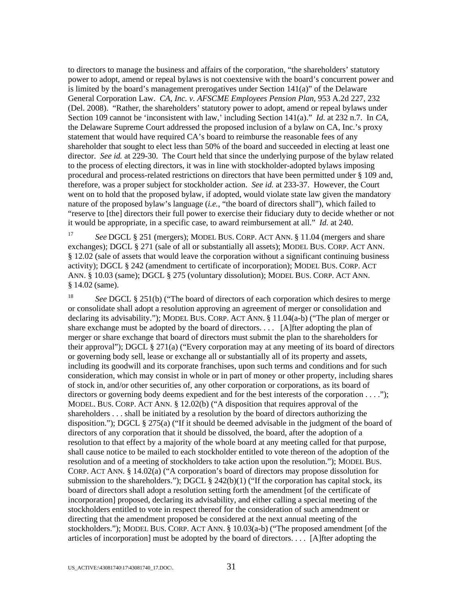to directors to manage the business and affairs of the corporation, "the shareholders' statutory power to adopt, amend or repeal bylaws is not coextensive with the board's concurrent power and is limited by the board's management prerogatives under Section  $141(a)$ " of the Delaware General Corporation Law. *CA, Inc. v. AFSCME Employees Pension Plan*, 953 A.2d 227, 232 (Del. 2008). "Rather, the shareholders' statutory power to adopt, amend or repeal bylaws under Section 109 cannot be 'inconsistent with law,' including Section 141(a)." *Id.* at 232 n.7. In *CA*, the Delaware Supreme Court addressed the proposed inclusion of a bylaw on CA, Inc.'s proxy statement that would have required CA's board to reimburse the reasonable fees of any shareholder that sought to elect less than 50% of the board and succeeded in electing at least one director. *See id.* at 229-30. The Court held that since the underlying purpose of the bylaw related to the process of electing directors, it was in line with stockholder-adopted bylaws imposing procedural and process-related restrictions on directors that have been permitted under § 109 and, therefore, was a proper subject for stockholder action. *See id.* at 233-37. However, the Court went on to hold that the proposed bylaw, if adopted, would violate state law given the mandatory nature of the proposed bylaw's language (*i.e.*, "the board of directors shall"), which failed to "reserve to [the] directors their full power to exercise their fiduciary duty to decide whether or not it would be appropriate, in a specific case, to award reimbursement at all." *Id.* at 240.

<sup>17</sup> *See* DGCL § 251 (mergers); MODEL BUS. CORP. ACT ANN. § 11.04 (mergers and share exchanges); DGCL § 271 (sale of all or substantially all assets); MODEL BUS. CORP. ACT ANN. § 12.02 (sale of assets that would leave the corporation without a significant continuing business activity); DGCL § 242 (amendment to certificate of incorporation); MODEL BUS. CORP. ACT ANN. § 10.03 (same); DGCL § 275 (voluntary dissolution); MODEL BUS. CORP. ACT ANN. § 14.02 (same).

<sup>18</sup> *See* DGCL § 251(b) ("The board of directors of each corporation which desires to merge or consolidate shall adopt a resolution approving an agreement of merger or consolidation and declaring its advisability."); MODEL BUS. CORP. ACT ANN. § 11.04(a-b) ("The plan of merger or share exchange must be adopted by the board of directors. . . . [A]fter adopting the plan of merger or share exchange that board of directors must submit the plan to the shareholders for their approval"); DGCL  $\S 271(a)$  ("Every corporation may at any meeting of its board of directors or governing body sell, lease or exchange all or substantially all of its property and assets, including its goodwill and its corporate franchises, upon such terms and conditions and for such consideration, which may consist in whole or in part of money or other property, including shares of stock in, and/or other securities of, any other corporation or corporations, as its board of directors or governing body deems expedient and for the best interests of the corporation . . . ."); MODEL. BUS. CORP. ACT ANN. § 12.02(b) ("A disposition that requires approval of the shareholders . . . shall be initiated by a resolution by the board of directors authorizing the disposition."); DGCL § 275(a) ("If it should be deemed advisable in the judgment of the board of directors of any corporation that it should be dissolved, the board, after the adoption of a resolution to that effect by a majority of the whole board at any meeting called for that purpose, shall cause notice to be mailed to each stockholder entitled to vote thereon of the adoption of the resolution and of a meeting of stockholders to take action upon the resolution."); MODEL BUS. CORP. ACT ANN. § 14.02(a) ("A corporation's board of directors may propose dissolution for submission to the shareholders."); DGCL  $\S$  242(b)(1) ("If the corporation has capital stock, its board of directors shall adopt a resolution setting forth the amendment [of the certificate of incorporation] proposed, declaring its advisability, and either calling a special meeting of the stockholders entitled to vote in respect thereof for the consideration of such amendment or directing that the amendment proposed be considered at the next annual meeting of the stockholders."); MODEL BUS. CORP. ACT ANN. § 10.03(a-b) ("The proposed amendment [of the articles of incorporation] must be adopted by the board of directors. . . . [A]fter adopting the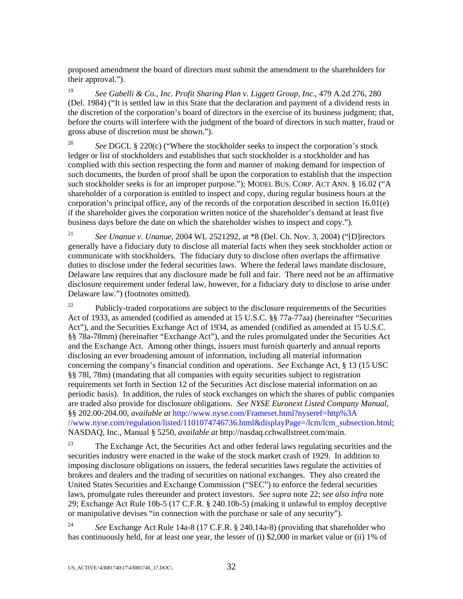proposed amendment the board of directors must submit the amendment to the shareholders for their approval.").

<sup>19</sup> *See Gabelli & Co., Inc. Profit Sharing Plan v. Liggett Group, Inc*., 479 A.2d 276, 280 (Del. 1984) ("It is settled law in this State that the declaration and payment of a dividend rests in the discretion of the corporation's board of directors in the exercise of its business judgment; that, before the courts will interfere with the judgment of the board of directors in such matter, fraud or gross abuse of discretion must be shown.").

<sup>20</sup> *See* DGCL § 220(c) ("Where the stockholder seeks to inspect the corporation's stock ledger or list of stockholders and establishes that such stockholder is a stockholder and has complied with this section respecting the form and manner of making demand for inspection of such documents, the burden of proof shall be upon the corporation to establish that the inspection such stockholder seeks is for an improper purpose."); MODEL BUS. CORP. ACT ANN. § 16.02 ("A shareholder of a corporation is entitled to inspect and copy, during regular business hours at the corporation's principal office, any of the records of the corporation described in section 16.01(e) if the shareholder gives the corporation written notice of the shareholder's demand at least five business days before the date on which the shareholder wishes to inspect and copy.").

<sup>21</sup> *See Unanue v. Unanue*, 2004 WL 2521292, at \*8 (Del. Ch. Nov. 3, 2004) ("[D]irectors generally have a fiduciary duty to disclose all material facts when they seek stockholder action or communicate with stockholders. The fiduciary duty to disclose often overlaps the affirmative duties to disclose under the federal securities laws. Where the federal laws mandate disclosure, Delaware law requires that any disclosure made be full and fair. There need not be an affirmative disclosure requirement under federal law, however, for a fiduciary duty to disclose to arise under Delaware law.") (footnotes omitted).

 $22$  Publicly-traded corporations are subject to the disclosure requirements of the Securities Act of 1933, as amended (codified as amended at 15 U.S.C. §§ 77a-77aa) (hereinafter "Securities Act"), and the Securities Exchange Act of 1934, as amended (codified as amended at 15 U.S.C. §§ 78a-78mm) (hereinafter "Exchange Act"), and the rules promulgated under the Securities Act and the Exchange Act. Among other things, issuers must furnish quarterly and annual reports disclosing an ever broadening amount of information, including all material information concerning the company's financial condition and operations. *See* Exchange Act, § 13 (15 USC §§ 78l, 78m) (mandating that all companies with equity securities subject to registration requirements set forth in Section 12 of the Securities Act disclose material information on an periodic basis). In addition, the rules of stock exchanges on which the shares of public companies are traded also provide for disclosure obligations. *See NYSE Euronext Listed Company Manual*, §§ 202.00-204.00, *available at* http://www.nyse.com/Frameset.html?nyseref=http%3A //www.nyse.com/regulation/listed/1101074746736.html&displayPage=/lcm/lcm\_subsection.html; NASDAQ, Inc., Manual § 5250, *available at* http://nasdaq.cchwallstreet.com/main.

 $23$  The Exchange Act, the Securities Act and other federal laws regulating securities and the securities industry were enacted in the wake of the stock market crash of 1929. In addition to imposing disclosure obligations on issuers, the federal securities laws regulate the activities of brokers and dealers and the trading of securities on national exchanges. They also created the United States Securities and Exchange Commission ("SEC") to enforce the federal securities laws, promulgate rules thereunder and protect investors. *See supra* note 22; *see also infra* note 29; Exchange Act Rule 10b-5 (17 C.F.R. § 240.10b-5) (making it unlawful to employ deceptive or manipulative devises "in connection with the purchase or sale of any security").

<sup>24</sup> *See* Exchange Act Rule 14a-8 (17 C.F.R. § 240.14a-8) (providing that shareholder who has continuously held, for at least one year, the lesser of (i) \$2,000 in market value or (ii) 1% of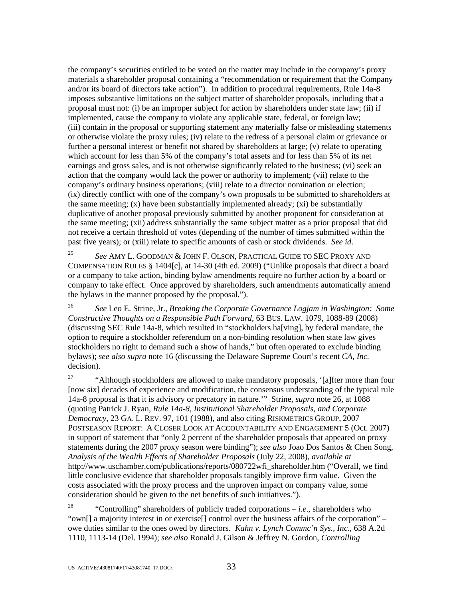the company's securities entitled to be voted on the matter may include in the company's proxy materials a shareholder proposal containing a "recommendation or requirement that the Company and/or its board of directors take action"). In addition to procedural requirements, Rule 14a-8 imposes substantive limitations on the subject matter of shareholder proposals, including that a proposal must not: (i) be an improper subject for action by shareholders under state law; (ii) if implemented, cause the company to violate any applicable state, federal, or foreign law; (iii) contain in the proposal or supporting statement any materially false or misleading statements or otherwise violate the proxy rules; (iv) relate to the redress of a personal claim or grievance or further a personal interest or benefit not shared by shareholders at large; (v) relate to operating which account for less than 5% of the company's total assets and for less than 5% of its net earnings and gross sales, and is not otherwise significantly related to the business; (vi) seek an action that the company would lack the power or authority to implement; (vii) relate to the company's ordinary business operations; (viii) relate to a director nomination or election; (ix) directly conflict with one of the company's own proposals to be submitted to shareholders at the same meeting;  $(x)$  have been substantially implemented already;  $(xi)$  be substantially duplicative of another proposal previously submitted by another proponent for consideration at the same meeting; (xii) address substantially the same subject matter as a prior proposal that did not receive a certain threshold of votes (depending of the number of times submitted within the past five years); or (xiii) relate to specific amounts of cash or stock dividends. *See id*.

<sup>25</sup> *See* AMY L. GOODMAN & JOHN F. OLSON, PRACTICAL GUIDE TO SEC PROXY AND COMPENSATION RULES § 1404[c], at 14-30 (4th ed. 2009) ("Unlike proposals that direct a board or a company to take action, binding bylaw amendments require no further action by a board or company to take effect. Once approved by shareholders, such amendments automatically amend the bylaws in the manner proposed by the proposal.").

<sup>26</sup> *See* Leo E. Strine, Jr., *Breaking the Corporate Governance Logjam in Washington: Some Constructive Thoughts on a Responsible Path Forward*, 63 BUS. LAW. 1079, 1088-89 (2008) (discussing SEC Rule 14a-8, which resulted in "stockholders ha[ving], by federal mandate, the option to require a stockholder referendum on a non-binding resolution when state law gives stockholders no right to demand such a show of hands," but often operated to exclude binding bylaws); *see also supra* note 16 (discussing the Delaware Supreme Court's recent *CA, Inc.* decision)*.*

<sup>27</sup> "Although stockholders are allowed to make mandatory proposals, '[a]fter more than four [now six] decades of experience and modification, the consensus understanding of the typical rule 14a-8 proposal is that it is advisory or precatory in nature.'" Strine, *supra* note 26, at 1088 (quoting Patrick J. Ryan, *Rule 14a-8, Institutional Shareholder Proposals, and Corporate Democracy*, 23 GA. L. REV. 97, 101 (1988), and also citing RISKMETRICS GROUP, 2007 POSTSEASON REPORT: A CLOSER LOOK AT ACCOUNTABILITY AND ENGAGEMENT 5 (Oct. 2007) in support of statement that "only 2 percent of the shareholder proposals that appeared on proxy statements during the 2007 proxy season were binding"); *see also* Joao Dos Santos & Chen Song, *Analysis of the Wealth Effects of Shareholder Proposals* (July 22, 2008), *available at* http://www.uschamber.com/publications/reports/080722wfi\_shareholder.htm ("Overall, we find little conclusive evidence that shareholder proposals tangibly improve firm value. Given the costs associated with the proxy process and the unproven impact on company value, some consideration should be given to the net benefits of such initiatives.").

<sup>28</sup> "Controlling" shareholders of publicly traded corporations  $-i.e.,$  shareholders who "own[] a majority interest in or exercise[] control over the business affairs of the corporation" – owe duties similar to the ones owed by directors. *Kahn v. Lynch Commc'n Sys., Inc*., 638 A.2d 1110, 1113-14 (Del. 1994); *see also* Ronald J. Gilson & Jeffrey N. Gordon, *Controlling*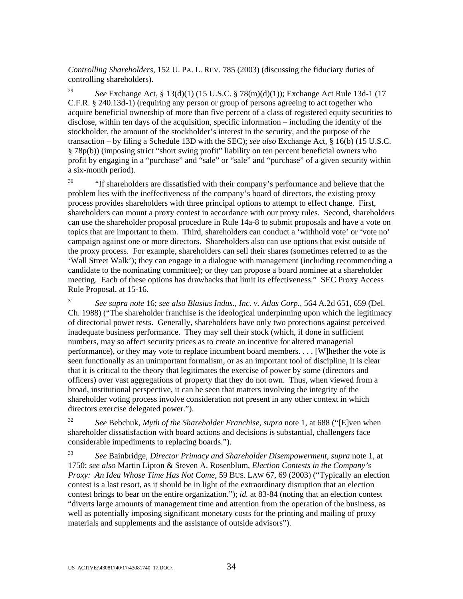*Controlling Shareholders*, 152 U. PA. L. REV. 785 (2003) (discussing the fiduciary duties of controlling shareholders).

<sup>29</sup> *See* Exchange Act, § 13(d)(1) (15 U.S.C. § 78(m)(d)(1)); Exchange Act Rule 13d-1 (17 C.F.R. § 240.13d-1) (requiring any person or group of persons agreeing to act together who acquire beneficial ownership of more than five percent of a class of registered equity securities to disclose, within ten days of the acquisition, specific information – including the identity of the stockholder, the amount of the stockholder's interest in the security, and the purpose of the transaction – by filing a Schedule 13D with the SEC); *see also* Exchange Act, § 16(b) (15 U.S.C. § 78p(b)) (imposing strict "short swing profit" liability on ten percent beneficial owners who profit by engaging in a "purchase" and "sale" or "sale" and "purchase" of a given security within a six-month period).

 $30$  "If shareholders are dissatisfied with their company's performance and believe that the problem lies with the ineffectiveness of the company's board of directors, the existing proxy process provides shareholders with three principal options to attempt to effect change. First, shareholders can mount a proxy contest in accordance with our proxy rules. Second, shareholders can use the shareholder proposal procedure in Rule 14a-8 to submit proposals and have a vote on topics that are important to them. Third, shareholders can conduct a 'withhold vote' or 'vote no' campaign against one or more directors. Shareholders also can use options that exist outside of the proxy process. For example, shareholders can sell their shares (sometimes referred to as the 'Wall Street Walk'); they can engage in a dialogue with management (including recommending a candidate to the nominating committee); or they can propose a board nominee at a shareholder meeting. Each of these options has drawbacks that limit its effectiveness." SEC Proxy Access Rule Proposal, at 15-16.

<sup>31</sup> *See supra note* 16; *see also Blasius Indus., Inc. v. Atlas Corp.*, 564 A.2d 651, 659 (Del. Ch. 1988) ("The shareholder franchise is the ideological underpinning upon which the legitimacy of directorial power rests. Generally, shareholders have only two protections against perceived inadequate business performance. They may sell their stock (which, if done in sufficient numbers, may so affect security prices as to create an incentive for altered managerial performance), or they may vote to replace incumbent board members. . . . [W]hether the vote is seen functionally as an unimportant formalism, or as an important tool of discipline, it is clear that it is critical to the theory that legitimates the exercise of power by some (directors and officers) over vast aggregations of property that they do not own. Thus, when viewed from a broad, institutional perspective, it can be seen that matters involving the integrity of the shareholder voting process involve consideration not present in any other context in which directors exercise delegated power.").

<sup>32</sup> *See* Bebchuk, *Myth of the Shareholder Franchise*, *supra* note 1, at 688 ("[E]ven when shareholder dissatisfaction with board actions and decisions is substantial, challengers face considerable impediments to replacing boards.").

<sup>33</sup> *See* Bainbridge, *Director Primacy and Shareholder Disempowerment*, *supra* note 1, at 1750; *see also* Martin Lipton & Steven A. Rosenblum, *Election Contests in the Company's Proxy: An Idea Whose Time Has Not Come*, 59 BUS. LAW 67, 69 (2003) ("Typically an election contest is a last resort, as it should be in light of the extraordinary disruption that an election contest brings to bear on the entire organization."); *id.* at 83-84 (noting that an election contest "diverts large amounts of management time and attention from the operation of the business, as well as potentially imposing significant monetary costs for the printing and mailing of proxy materials and supplements and the assistance of outside advisors").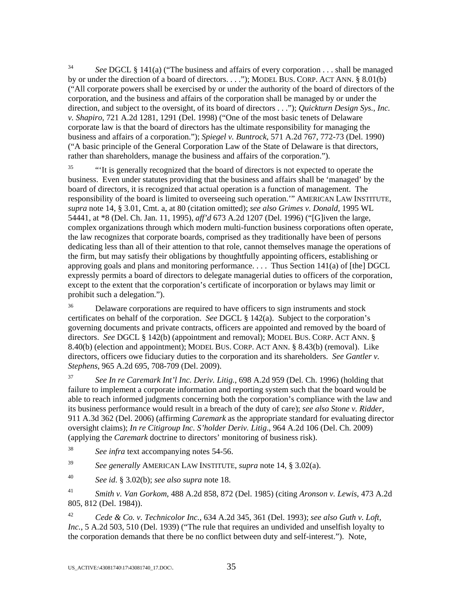<sup>34</sup> *See* DGCL § 141(a) ("The business and affairs of every corporation . . . shall be managed by or under the direction of a board of directors. . . ."); MODEL BUS. CORP. ACT ANN. § 8.01(b) ("All corporate powers shall be exercised by or under the authority of the board of directors of the corporation, and the business and affairs of the corporation shall be managed by or under the direction, and subject to the oversight, of its board of directors . . ."); *Quickturn Design Sys., Inc. v. Shapiro*, 721 A.2d 1281, 1291 (Del. 1998) ("One of the most basic tenets of Delaware corporate law is that the board of directors has the ultimate responsibility for managing the business and affairs of a corporation."); *Spiegel v. Buntrock*, 571 A.2d 767, 772-73 (Del. 1990) ("A basic principle of the General Corporation Law of the State of Delaware is that directors, rather than shareholders, manage the business and affairs of the corporation.").

 $\frac{35}{15}$  "It is generally recognized that the board of directors is not expected to operate the business. Even under statutes providing that the business and affairs shall be 'managed' by the board of directors, it is recognized that actual operation is a function of management. The responsibility of the board is limited to overseeing such operation.'" AMERICAN LAW INSTITUTE, *supra* note 14, § 3.01, Cmt. a, at 80 (citation omitted); *see also Grimes v. Donald*, 1995 WL 54441, at \*8 (Del. Ch. Jan. 11, 1995), *aff'd* 673 A.2d 1207 (Del. 1996) ("[G]iven the large, complex organizations through which modern multi-function business corporations often operate, the law recognizes that corporate boards, comprised as they traditionally have been of persons dedicating less than all of their attention to that role, cannot themselves manage the operations of the firm, but may satisfy their obligations by thoughtfully appointing officers, establishing or approving goals and plans and monitoring performance.... Thus Section  $141(a)$  of [the] DGCL expressly permits a board of directors to delegate managerial duties to officers of the corporation, except to the extent that the corporation's certificate of incorporation or bylaws may limit or prohibit such a delegation.").

<sup>36</sup> Delaware corporations are required to have officers to sign instruments and stock certificates on behalf of the corporation. *See* DGCL § 142(a). Subject to the corporation's governing documents and private contracts, officers are appointed and removed by the board of directors. *See* DGCL § 142(b) (appointment and removal); MODEL BUS. CORP. ACT ANN. § 8.40(b) (election and appointment); MODEL BUS. CORP. ACT ANN. § 8.43(b) (removal). Like directors, officers owe fiduciary duties to the corporation and its shareholders. *See Gantler v. Stephens*, 965 A.2d 695, 708-709 (Del. 2009).

<sup>37</sup> *See In re Caremark Int'l Inc. Deriv. Litig.*, 698 A.2d 959 (Del. Ch. 1996) (holding that failure to implement a corporate information and reporting system such that the board would be able to reach informed judgments concerning both the corporation's compliance with the law and its business performance would result in a breach of the duty of care); *see also Stone v. Ridder*, 911 A.3d 362 (Del. 2006) (affirming *Caremark* as the appropriate standard for evaluating director oversight claims); *In re Citigroup Inc. S'holder Deriv. Litig*., 964 A.2d 106 (Del. Ch. 2009) (applying the *Caremark* doctrine to directors' monitoring of business risk).

<sup>38</sup> *See infra* text accompanying notes 54-56.

<sup>39</sup> *See generally* AMERICAN LAW INSTITUTE, *supra* note 14, § 3.02(a).

<sup>40</sup> *See id*. § 3.02(b); *see also supra* note 18.

<sup>41</sup> *Smith v. Van Gorkom*, 488 A.2d 858, 872 (Del. 1985) (citing *Aronson v. Lewis*, 473 A.2d 805, 812 (Del. 1984)).

<sup>42</sup> *Cede & Co. v. Technicolor Inc.*, 634 A.2d 345, 361 (Del. 1993); *see also Guth v. Loft, Inc.*, 5 A.2d 503, 510 (Del. 1939) ("The rule that requires an undivided and unselfish loyalty to the corporation demands that there be no conflict between duty and self-interest."). Note,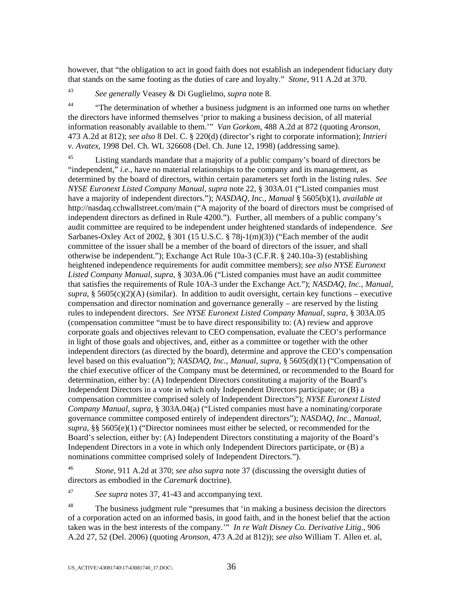however, that "the obligation to act in good faith does not establish an independent fiduciary duty that stands on the same footing as the duties of care and loyalty." *Stone*, 911 A.2d at 370.

<sup>43</sup> *See generally* Veasey & Di Guglielmo, *supra* note 8.

<sup>44</sup> "The determination of whether a business judgment is an informed one turns on whether the directors have informed themselves 'prior to making a business decision, of all material information reasonably available to them.'" *Van Gorkom*, 488 A.2d at 872 (quoting *Aronson*, 473 A.2d at 812); *see also* 8 Del. C. § 220(d) (director's right to corporate information); *Intrieri v. Avatex*, 1998 Del. Ch. WL 326608 (Del. Ch. June 12, 1998) (addressing same).

<sup>45</sup> Listing standards mandate that a majority of a public company's board of directors be "independent," *i.e.*, have no material relationships to the company and its management, as determined by the board of directors, within certain parameters set forth in the listing rules. *See NYSE Euronext Listed Company Manual*, *supra* note 22, § 303A.01 ("Listed companies must have a majority of independent directors."); *NASDAQ, Inc., Manual* § 5605(b)(1), *available at* http://nasdaq.cchwallstreet.com/main ("A majority of the board of directors must be comprised of independent directors as defined in Rule 4200."). Further, all members of a public company's audit committee are required to be independent under heightened standards of independence. *See*  Sarbanes-Oxley Act of 2002,  $\S 301$  (15 U.S.C.  $\S 78j-1(m)(3)$ ) ("Each member of the audit committee of the issuer shall be a member of the board of directors of the issuer, and shall otherwise be independent."); Exchange Act Rule 10a-3 (C.F.R. § 240.10a-3) (establishing heightened independence requirements for audit committee members); *see also NYSE Euronext Listed Company Manual*, *supra*, § 303A.06 ("Listed companies must have an audit committee that satisfies the requirements of Rule 10A-3 under the Exchange Act."); *NASDAQ, Inc., Manual*,  $supra$ , § 5605(c)(2)(A) (similar). In addition to audit oversight, certain key functions – executive compensation and director nomination and governance generally – are reserved by the listing rules to independent directors. *See NYSE Euronext Listed Company Manual*, *supra*, § 303A.05 (compensation committee "must be to have direct responsibility to: (A) review and approve corporate goals and objectives relevant to CEO compensation, evaluate the CEO's performance in light of those goals and objectives, and, either as a committee or together with the other independent directors (as directed by the board), determine and approve the CEO's compensation level based on this evaluation"); *NASDAQ, Inc., Manual*, *supra*, § 5605(d)(1) ("Compensation of the chief executive officer of the Company must be determined, or recommended to the Board for determination, either by: (A) Independent Directors constituting a majority of the Board's Independent Directors in a vote in which only Independent Directors participate; or (B) a compensation committee comprised solely of Independent Directors"); *NYSE Euronext Listed Company Manual*, *supra*, § 303A.04(a) ("Listed companies must have a nominating/corporate governance committee composed entirely of independent directors"); *NASDAQ, Inc., Manual*, *supra*, §§ 5605(e)(1) ("Director nominees must either be selected, or recommended for the Board's selection, either by: (A) Independent Directors constituting a majority of the Board's Independent Directors in a vote in which only Independent Directors participate, or (B) a nominations committee comprised solely of Independent Directors.").

<sup>46</sup> *Stone*, 911 A.2d at 370; *see also supra* note 37 (discussing the oversight duties of directors as embodied in the *Caremark* doctrine).

<sup>47</sup> *See supra* notes 37, 41-43 and accompanying text.

<sup>48</sup> The business judgment rule "presumes that 'in making a business decision the directors" of a corporation acted on an informed basis, in good faith, and in the honest belief that the action taken was in the best interests of the company.'" *In re Walt Disney Co. Derivative Litig*., 906 A.2d 27, 52 (Del. 2006) (quoting *Aronson*, 473 A.2d at 812)); *see also* William T. Allen et. al,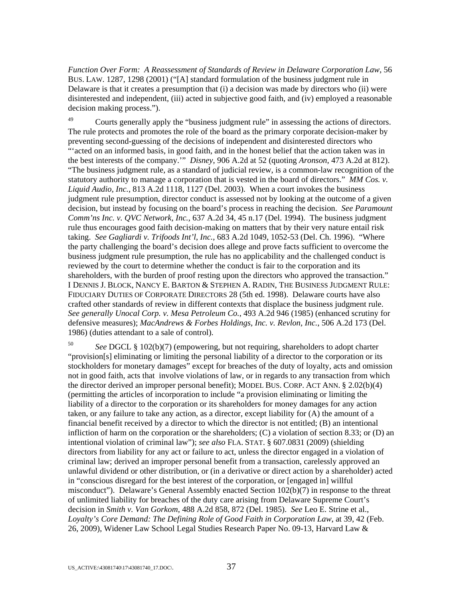*Function Over Form: A Reassessment of Standards of Review in Delaware Corporation Law*, 56 BUS. LAW. 1287, 1298 (2001) ("[A] standard formulation of the business judgment rule in Delaware is that it creates a presumption that (i) a decision was made by directors who (ii) were disinterested and independent, (iii) acted in subjective good faith, and (iv) employed a reasonable decision making process.").

 $^{49}$  Courts generally apply the "business judgment rule" in assessing the actions of directors. The rule protects and promotes the role of the board as the primary corporate decision-maker by preventing second-guessing of the decisions of independent and disinterested directors who "'acted on an informed basis, in good faith, and in the honest belief that the action taken was in the best interests of the company.'" *Disney*, 906 A.2d at 52 (quoting *Aronson*, 473 A.2d at 812). "The business judgment rule, as a standard of judicial review, is a common-law recognition of the statutory authority to manage a corporation that is vested in the board of directors." *MM Cos. v. Liquid Audio, Inc.*, 813 A.2d 1118, 1127 (Del. 2003). When a court invokes the business judgment rule presumption, director conduct is assessed not by looking at the outcome of a given decision, but instead by focusing on the board's process in reaching the decision. *See Paramount Comm'ns Inc. v. QVC Network, Inc.*, 637 A.2d 34, 45 n.17 (Del. 1994). The business judgment rule thus encourages good faith decision-making on matters that by their very nature entail risk taking. *See Gagliardi v. Trifoods Int'l*, *Inc.*, 683 A.2d 1049, 1052-53 (Del. Ch. 1996). "Where the party challenging the board's decision does allege and prove facts sufficient to overcome the business judgment rule presumption, the rule has no applicability and the challenged conduct is reviewed by the court to determine whether the conduct is fair to the corporation and its shareholders, with the burden of proof resting upon the directors who approved the transaction." I DENNIS J. BLOCK, NANCY E. BARTON & STEPHEN A. RADIN, THE BUSINESS JUDGMENT RULE: FIDUCIARY DUTIES OF CORPORATE DIRECTORS 28 (5th ed. 1998). Delaware courts have also crafted other standards of review in different contexts that displace the business judgment rule. *See generally Unocal Corp. v. Mesa Petroleum Co.*, 493 A.2d 946 (1985) (enhanced scrutiny for defensive measures); *MacAndrews & Forbes Holdings, Inc. v. Revlon, Inc.*, 506 A.2d 173 (Del. 1986) (duties attendant to a sale of control).

<sup>50</sup> *See* DGCL § 102(b)(7) (empowering, but not requiring, shareholders to adopt charter "provision[s] eliminating or limiting the personal liability of a director to the corporation or its stockholders for monetary damages" except for breaches of the duty of loyalty, acts and omission not in good faith, acts that involve violations of law, or in regards to any transaction from which the director derived an improper personal benefit); MODEL BUS. CORP. ACT ANN. § 2.02(b)(4) (permitting the articles of incorporation to include "a provision eliminating or limiting the liability of a director to the corporation or its shareholders for money damages for any action taken, or any failure to take any action, as a director, except liability for (A) the amount of a financial benefit received by a director to which the director is not entitled; (B) an intentional infliction of harm on the corporation or the shareholders; (C) a violation of section 8.33; or (D) an intentional violation of criminal law"); *see also* FLA. STAT. § 607.0831 (2009) (shielding directors from liability for any act or failure to act, unless the director engaged in a violation of criminal law; derived an improper personal benefit from a transaction, carelessly approved an unlawful dividend or other distribution, or (in a derivative or direct action by a shareholder) acted in "conscious disregard for the best interest of the corporation, or [engaged in] willful misconduct"). Delaware's General Assembly enacted Section 102(b)(7) in response to the threat of unlimited liability for breaches of the duty care arising from Delaware Supreme Court's decision in *Smith v. Van Gorkom*, 488 A.2d 858, 872 (Del. 1985). *See* Leo E. Strine et al., *Loyalty's Core Demand: The Defining Role of Good Faith in Corporation Law*, at 39, 42 (Feb. 26, 2009), Widener Law School Legal Studies Research Paper No. 09-13*,* Harvard Law &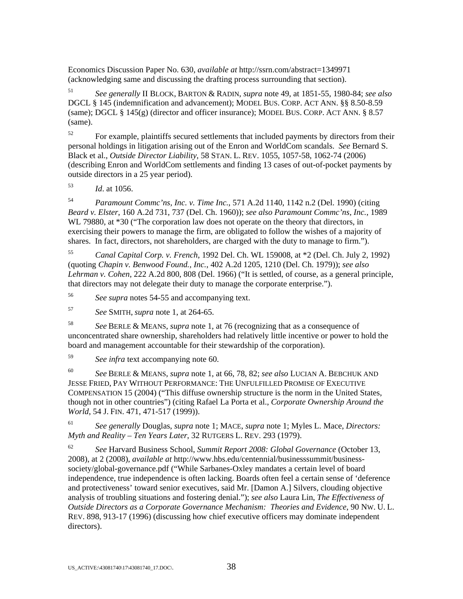Economics Discussion Paper No. 630, *available at* http://ssrn.com/abstract=1349971 (acknowledging same and discussing the drafting process surrounding that section).

<sup>51</sup> *See generally* II BLOCK, BARTON & RADIN, *supra* note 49, at 1851-55, 1980-84; *see also*  DGCL § 145 (indemnification and advancement); MODEL BUS. CORP. ACT ANN. §§ 8.50-8.59 (same); DGCL § 145(g) (director and officer insurance); MODEL BUS. CORP. ACT ANN. § 8.57 (same).

 $52$  For example, plaintiffs secured settlements that included payments by directors from their personal holdings in litigation arising out of the Enron and WorldCom scandals. *See* Bernard S. Black et al., *Outside Director Liability*, 58 STAN. L. REV. 1055, 1057-58, 1062-74 (2006) (describing Enron and WorldCom settlements and finding 13 cases of out-of-pocket payments by outside directors in a 25 year period).

<sup>53</sup> *Id*. at 1056.

<sup>54</sup> *Paramount Commc'ns, Inc. v. Time Inc.*, 571 A.2d 1140, 1142 n.2 (Del. 1990) (citing *Beard v. Elster*, 160 A.2d 731, 737 (Del. Ch. 1960)); *see also Paramount Commc'ns, Inc.*, 1989 WL 79880, at  $*30$  ("The corporation law does not operate on the theory that directors, in exercising their powers to manage the firm, are obligated to follow the wishes of a majority of shares. In fact, directors, not shareholders, are charged with the duty to manage to firm.").

<sup>55</sup> *Canal Capital Corp. v. French*, 1992 Del. Ch. WL 159008, at \*2 (Del. Ch. July 2, 1992) (quoting *Chapin v. Benwood Found., Inc.*, 402 A.2d 1205, 1210 (Del. Ch. 1979)); *see also Lehrman v. Cohen*, 222 A.2d 800, 808 (Del. 1966) ("It is settled, of course, as a general principle, that directors may not delegate their duty to manage the corporate enterprise.").

<sup>56</sup> *See supra* notes 54-55 and accompanying text.

<sup>57</sup> *See* SMITH, *supra* note 1, at 264-65.

<sup>58</sup> *See* BERLE & MEANS, *supra* note 1, at 76 (recognizing that as a consequence of unconcentrated share ownership, shareholders had relatively little incentive or power to hold the board and management accountable for their stewardship of the corporation).

<sup>59</sup> *See infra* text accompanying note 60.

<sup>60</sup> *See* BERLE & MEANS, *supra* note 1, at 66, 78, 82; *see also* LUCIAN A. BEBCHUK AND JESSE FRIED, PAY WITHOUT PERFORMANCE: THE UNFULFILLED PROMISE OF EXECUTIVE COMPENSATION 15 (2004) ("This diffuse ownership structure is the norm in the United States, though not in other countries") (citing Rafael La Porta et al., *Corporate Ownership Around the World*, 54 J. FIN. 471, 471-517 (1999)).

<sup>61</sup> *See generally* Douglas, *supra* note 1; MACE, *supra* note 1; Myles L. Mace, *Directors: Myth and Reality – Ten Years Later*, 32 RUTGERS L. REV. 293 (1979).

<sup>62</sup> *See* Harvard Business School, *Summit Report 2008: Global Governance* (October 13, 2008), at 2 (2008), *available at* http://www.hbs.edu/centennial/businesssummit/businesssociety/global-governance.pdf ("While Sarbanes-Oxley mandates a certain level of board independence, true independence is often lacking. Boards often feel a certain sense of 'deference and protectiveness' toward senior executives, said Mr. [Damon A.] Silvers, clouding objective analysis of troubling situations and fostering denial."); *see also* Laura Lin, *The Effectiveness of Outside Directors as a Corporate Governance Mechanism: Theories and Evidence*, 90 NW. U. L. REV. 898, 913-17 (1996) (discussing how chief executive officers may dominate independent directors).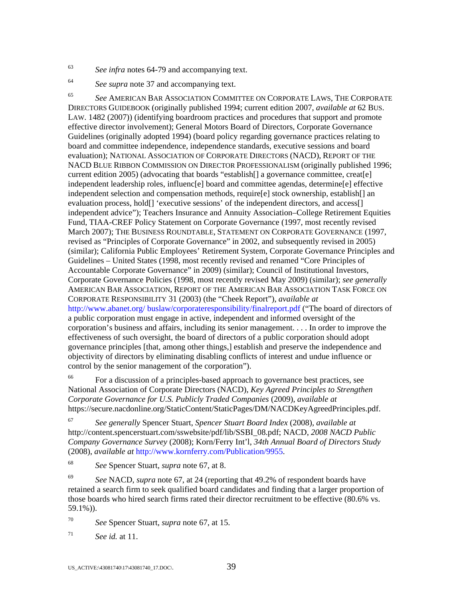<sup>63</sup> *See infra* notes 64-79 and accompanying text.

<sup>64</sup> *See supra* note 37 and accompanying text.

<sup>65</sup> *See* AMERICAN BAR ASSOCIATION COMMITTEE ON CORPORATE LAWS, THE CORPORATE DIRECTORS GUIDEBOOK (originally published 1994; current edition 2007, *available at* 62 BUS. LAW. 1482 (2007)) (identifying boardroom practices and procedures that support and promote effective director involvement); General Motors Board of Directors, Corporate Governance Guidelines (originally adopted 1994) (board policy regarding governance practices relating to board and committee independence, independence standards, executive sessions and board evaluation); NATIONAL ASSOCIATION OF CORPORATE DIRECTORS (NACD), REPORT OF THE NACD BLUE RIBBON COMMISSION ON DIRECTOR PROFESSIONALISM (originally published 1996; current edition 2005) (advocating that boards "establish[] a governance committee, creat[e] independent leadership roles, influenc[e] board and committee agendas, determine[e] effective independent selection and compensation methods, require[e] stock ownership, establish[] an evaluation process, hold<sup>[]</sup> 'executive sessions' of the independent directors, and access<sup>[]</sup> independent advice"); Teachers Insurance and Annuity Association–College Retirement Equities Fund, TIAA-CREF Policy Statement on Corporate Governance (1997, most recently revised March 2007); THE BUSINESS ROUNDTABLE, STATEMENT ON CORPORATE GOVERNANCE (1997, revised as "Principles of Corporate Governance" in 2002, and subsequently revised in 2005) (similar); California Public Employees' Retirement System, Corporate Governance Principles and Guidelines – United States (1998, most recently revised and renamed "Core Principles of Accountable Corporate Governance" in 2009) (similar); Council of Institutional Investors, Corporate Governance Policies (1998, most recently revised May 2009) (similar); *see generally*  AMERICAN BAR ASSOCIATION, REPORT OF THE AMERICAN BAR ASSOCIATION TASK FORCE ON CORPORATE RESPONSIBILITY 31 (2003) (the "Cheek Report"), *available at* http://www.abanet.org/ buslaw/corporateresponsibility/finalreport.pdf ("The board of directors of a public corporation must engage in active, independent and informed oversight of the corporation's business and affairs, including its senior management. . . . In order to improve the effectiveness of such oversight, the board of directors of a public corporation should adopt governance principles [that, among other things,] establish and preserve the independence and objectivity of directors by eliminating disabling conflicts of interest and undue influence or control by the senior management of the corporation").

66 For a discussion of a principles-based approach to governance best practices, see National Association of Corporate Directors (NACD), *Key Agreed Principles to Strengthen Corporate Governance for U.S. Publicly Traded Companies* (2009), *available at* https://secure.nacdonline.org/StaticContent/StaticPages/DM/NACDKeyAgreedPrinciples.pdf.

<sup>67</sup> *See generally* Spencer Stuart, *Spencer Stuart Board Index* (2008), *available at*  http://content.spencerstuart.com/sswebsite/pdf/lib/SSBI\_08.pdf; NACD, *2008 NACD Public Company Governance Survey* (2008); Korn/Ferry Int'l, *34th Annual Board of Directors Study* (2008), *available at* http://www.kornferry.com/Publication/9955.

68 *See* Spencer Stuart, *supra* note 67, at 8.

69 *See* NACD, *supra* note 67, at 24 (reporting that 49.2% of respondent boards have retained a search firm to seek qualified board candidates and finding that a larger proportion of those boards who hired search firms rated their director recruitment to be effective (80.6% vs. 59.1%)).

70 *See* Spencer Stuart, *supra* note 67, at 15.

 $71$  *See id.* at 11.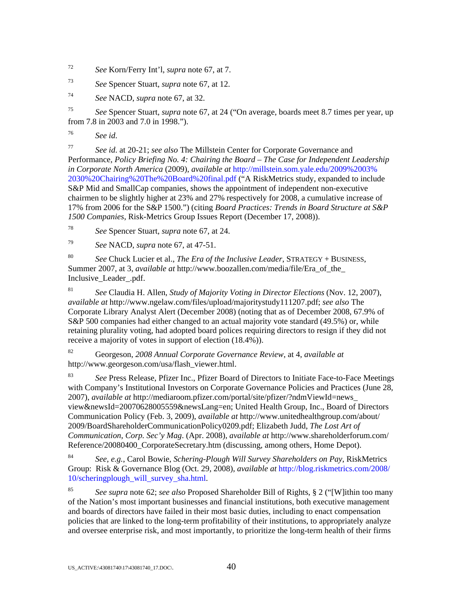72 *See* Korn/Ferry Int'l, *supra* note 67, at 7.

73 *See* Spencer Stuart, *supra* note 67, at 12.

74 *See* NACD, *supra* note 67, at 32.

75 *See* Spencer Stuart, *supra* note 67, at 24 ("On average, boards meet 8.7 times per year, up from 7.8 in 2003 and 7.0 in 1998.").

76 *See id*.

77 *See id*. at 20-21; *see also* The Millstein Center for Corporate Governance and Performance, *Policy Briefing No. 4: Chairing the Board – The Case for Independent Leadership in Corporate North America* (2009), *available at* http://millstein.som.yale.edu/2009%2003% 2030%20Chairing%20The%20Board%20final.pdf ("A RiskMetrics study, expanded to include S&P Mid and SmallCap companies, shows the appointment of independent non-executive chairmen to be slightly higher at 23% and 27% respectively for 2008, a cumulative increase of 17% from 2006 for the S&P 1500.") (citing *Board Practices: Trends in Board Structure at S&P 1500 Companies*, Risk-Metrics Group Issues Report (December 17, 2008)).

78 *See* Spencer Stuart, *supra* note 67, at 24.

79 *See* NACD, *supra* note 67, at 47-51.

<sup>80</sup> *See* Chuck Lucier et al., *The Era of the Inclusive Leader*, STRATEGY + BUSINESS, Summer 2007, at 3, *available at* http://www.boozallen.com/media/file/Era\_of\_the\_ Inclusive\_Leader\_.pdf.

<sup>81</sup> *See* Claudia H. Allen, *Study of Majority Voting in Director Elections* (Nov. 12, 2007), *available at* http://www.ngelaw.com/files/upload/majoritystudy111207.pdf; *see also* The Corporate Library Analyst Alert (December 2008) (noting that as of December 2008, 67.9% of S&P 500 companies had either changed to an actual majority vote standard (49.5%) or, while retaining plurality voting, had adopted board polices requiring directors to resign if they did not receive a majority of votes in support of election (18.4%)).

82 Georgeson, *2008 Annual Corporate Governance Review*, at 4, *available at* http://www.georgeson.com/usa/flash\_viewer.html.

<sup>83</sup> *See* Press Release, Pfizer Inc., Pfizer Board of Directors to Initiate Face-to-Face Meetings with Company's Institutional Investors on Corporate Governance Policies and Practices (June 28, 2007), *available at* http://mediaroom.pfizer.com/portal/site/pfizer/?ndmViewId=news\_ view&newsId=20070628005559&newsLang=en; United Health Group, Inc., Board of Directors Communication Policy (Feb. 3, 2009), *available at* http://www.unitedhealthgroup.com/about/ 2009/BoardShareholderCommunicationPolicy0209.pdf; Elizabeth Judd, *The Lost Art of Communication*, *Corp. Sec'y Mag*. (Apr. 2008), *available at* http://www.shareholderforum.com/ Reference/20080400\_CorporateSecretary.htm (discussing, among others, Home Depot).

<sup>84</sup> *See, e.g.*, Carol Bowie, *Schering-Plough Will Survey Shareholders on Pay*, RiskMetrics Group: Risk & Governance Blog (Oct. 29, 2008), *available at* http://blog.riskmetrics.com/2008/ 10/scheringplough\_will\_survey\_sha.html.

85 *See supra* note 62; *see also* Proposed Shareholder Bill of Rights, § 2 ("[W]ithin too many of the Nation's most important businesses and financial institutions, both executive management and boards of directors have failed in their most basic duties, including to enact compensation policies that are linked to the long-term profitability of their institutions, to appropriately analyze and oversee enterprise risk, and most importantly, to prioritize the long-term health of their firms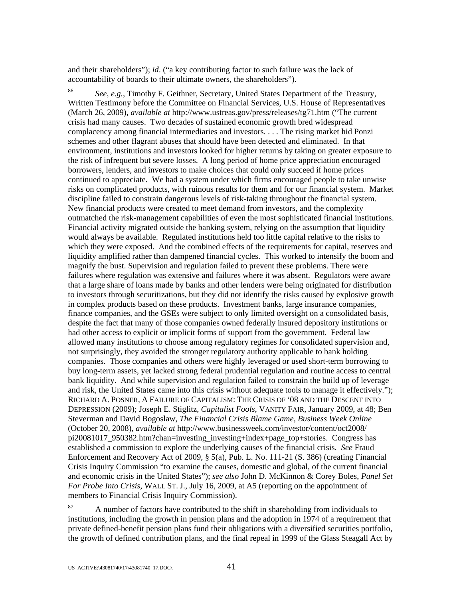and their shareholders"); *id*. ("a key contributing factor to such failure was the lack of accountability of boards to their ultimate owners, the shareholders").

86 *See, e.g.*, Timothy F. Geithner, Secretary, United States Department of the Treasury, Written Testimony before the Committee on Financial Services, U.S. House of Representatives (March 26, 2009), *available at* http://www.ustreas.gov/press/releases/tg71.htm ("The current crisis had many causes. Two decades of sustained economic growth bred widespread complacency among financial intermediaries and investors. . . . The rising market hid Ponzi schemes and other flagrant abuses that should have been detected and eliminated. In that environment, institutions and investors looked for higher returns by taking on greater exposure to the risk of infrequent but severe losses. A long period of home price appreciation encouraged borrowers, lenders, and investors to make choices that could only succeed if home prices continued to appreciate. We had a system under which firms encouraged people to take unwise risks on complicated products, with ruinous results for them and for our financial system. Market discipline failed to constrain dangerous levels of risk-taking throughout the financial system. New financial products were created to meet demand from investors, and the complexity outmatched the risk-management capabilities of even the most sophisticated financial institutions. Financial activity migrated outside the banking system, relying on the assumption that liquidity would always be available. Regulated institutions held too little capital relative to the risks to which they were exposed. And the combined effects of the requirements for capital, reserves and liquidity amplified rather than dampened financial cycles. This worked to intensify the boom and magnify the bust. Supervision and regulation failed to prevent these problems. There were failures where regulation was extensive and failures where it was absent. Regulators were aware that a large share of loans made by banks and other lenders were being originated for distribution to investors through securitizations, but they did not identify the risks caused by explosive growth in complex products based on these products. Investment banks, large insurance companies, finance companies, and the GSEs were subject to only limited oversight on a consolidated basis, despite the fact that many of those companies owned federally insured depository institutions or had other access to explicit or implicit forms of support from the government. Federal law allowed many institutions to choose among regulatory regimes for consolidated supervision and, not surprisingly, they avoided the stronger regulatory authority applicable to bank holding companies. Those companies and others were highly leveraged or used short-term borrowing to buy long-term assets, yet lacked strong federal prudential regulation and routine access to central bank liquidity. And while supervision and regulation failed to constrain the build up of leverage and risk, the United States came into this crisis without adequate tools to manage it effectively."); RICHARD A. POSNER, A FAILURE OF CAPITALISM: THE CRISIS OF '08 AND THE DESCENT INTO DEPRESSION (2009); Joseph E. Stiglitz, *Capitalist Fools*, VANITY FAIR, January 2009, at 48; Ben Steverman and David Bogoslaw, *The Financial Crisis Blame Game, Business Week Online* (October 20, 2008), *available at* http://www.businessweek.com/investor/content/oct2008/ pi20081017\_950382.htm?chan=investing\_investing+index+page\_top+stories. Congress has established a commission to explore the underlying causes of the financial crisis. *See* Fraud Enforcement and Recovery Act of 2009, § 5(a), Pub. L. No. 111-21 (S. 386) (creating Financial Crisis Inquiry Commission "to examine the causes, domestic and global, of the current financial and economic crisis in the United States"); *see also* John D. McKinnon & Corey Boles, *Panel Set For Probe Into Crisis*, WALL ST. J., July 16, 2009, at A5 (reporting on the appointment of members to Financial Crisis Inquiry Commission).

 $87$  A number of factors have contributed to the shift in shareholding from individuals to institutions, including the growth in pension plans and the adoption in 1974 of a requirement that private defined-benefit pension plans fund their obligations with a diversified securities portfolio, the growth of defined contribution plans, and the final repeal in 1999 of the Glass Steagall Act by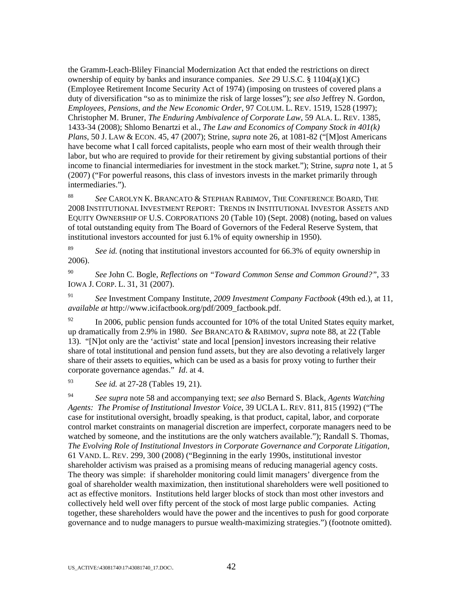the Gramm-Leach-Bliley Financial Modernization Act that ended the restrictions on direct ownership of equity by banks and insurance companies. *See* 29 U.S.C. § 1104(a)(1)(C) (Employee Retirement Income Security Act of 1974) (imposing on trustees of covered plans a duty of diversification "so as to minimize the risk of large losses"); *see also* Jeffrey N. Gordon, *Employees, Pensions, and the New Economic Order*, 97 COLUM. L. REV. 1519, 1528 (1997); Christopher M. Bruner, *The Enduring Ambivalence of Corporate Law*, 59 ALA. L. REV. 1385, 1433-34 (2008); Shlomo Benartzi et al., *The Law and Economics of Company Stock in 401(k) Plans*, 50 J. LAW & ECON. 45, 47 (2007); Strine, *supra* note 26, at 1081-82 ("[M]ost Americans have become what I call forced capitalists, people who earn most of their wealth through their labor, but who are required to provide for their retirement by giving substantial portions of their income to financial intermediaries for investment in the stock market."); Strine, *supra* note 1, at 5 (2007) ("For powerful reasons, this class of investors invests in the market primarily through intermediaries.").

<sup>88</sup> *See* CAROLYN K. BRANCATO & STEPHAN RABIMOV, THE CONFERENCE BOARD, THE 2008 INSTITUTIONAL INVESTMENT REPORT: TRENDS IN INSTITUTIONAL INVESTOR ASSETS AND EQUITY OWNERSHIP OF U.S. CORPORATIONS 20 (Table 10) (Sept. 2008) (noting, based on values of total outstanding equity from The Board of Governors of the Federal Reserve System, that institutional investors accounted for just 6.1% of equity ownership in 1950).

<sup>89</sup> *See id.* (noting that institutional investors accounted for 66.3% of equity ownership in 2006).

<sup>90</sup> *See* John C. Bogle, *Reflections on "Toward Common Sense and Common Ground?"*, 33 IOWA J. CORP. L. 31, 31 (2007).

<sup>91</sup> *See* Investment Company Institute, *2009 Investment Company Factbook* (49th ed.), at 11, *available at* http://www.icifactbook.org/pdf/2009\_factbook.pdf.

 $^{92}$  In 2006, public pension funds accounted for 10% of the total United States equity market, up dramatically from 2.9% in 1980. *See* BRANCATO & RABIMOV, *supra* note 88, at 22 (Table 13). "[N]ot only are the 'activist' state and local [pension] investors increasing their relative share of total institutional and pension fund assets, but they are also devoting a relatively larger share of their assets to equities, which can be used as a basis for proxy voting to further their corporate governance agendas." *Id*. at 4.

<sup>93</sup> *See id.* at 27-28 (Tables 19, 21).

<sup>94</sup> *See supra* note 58 and accompanying text; *see also* Bernard S. Black, *Agents Watching Agents: The Promise of Institutional Investor Voice*, 39 UCLA L. REV. 811, 815 (1992) ("The case for institutional oversight, broadly speaking, is that product, capital, labor, and corporate control market constraints on managerial discretion are imperfect, corporate managers need to be watched by someone, and the institutions are the only watchers available."); Randall S. Thomas, *The Evolving Role of Institutional Investors in Corporate Governance and Corporate Litigation*, 61 VAND. L. REV. 299, 300 (2008) ("Beginning in the early 1990s, institutional investor shareholder activism was praised as a promising means of reducing managerial agency costs. The theory was simple: if shareholder monitoring could limit managers' divergence from the goal of shareholder wealth maximization, then institutional shareholders were well positioned to act as effective monitors. Institutions held larger blocks of stock than most other investors and collectively held well over fifty percent of the stock of most large public companies. Acting together, these shareholders would have the power and the incentives to push for good corporate governance and to nudge managers to pursue wealth-maximizing strategies.") (footnote omitted).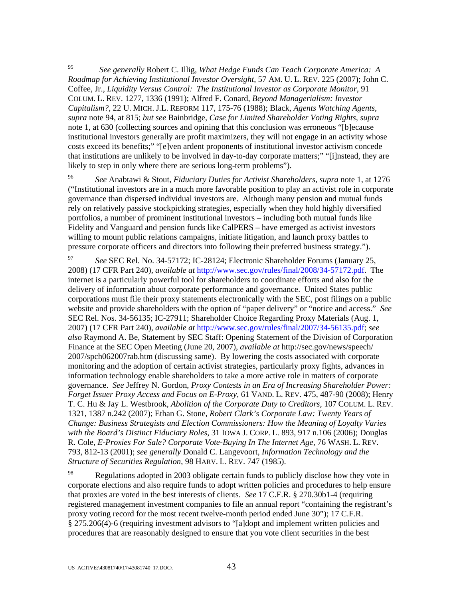95 *See generally* Robert C. Illig, *What Hedge Funds Can Teach Corporate America: A Roadmap for Achieving Institutional Investor Oversight*, 57 AM. U. L. REV. 225 (2007); John C. Coffee, Jr., *Liquidity Versus Control: The Institutional Investor as Corporate Monitor*, 91 COLUM. L. REV. 1277, 1336 (1991); Alfred F. Conard, *Beyond Managerialism: Investor Capitalism?*, 22 U. MICH. J.L. REFORM 117, 175-76 (1988); Black, *Agents Watching Agents*, *supra* note 94, at 815; *but see* Bainbridge, *Case for Limited Shareholder Voting Rights*, *supra*  note 1, at 630 (collecting sources and opining that this conclusion was erroneous "[b]ecause institutional investors generally are profit maximizers, they will not engage in an activity whose costs exceed its benefits;" "[e]ven ardent proponents of institutional investor activism concede that institutions are unlikely to be involved in day-to-day corporate matters;" "[i]nstead, they are likely to step in only where there are serious long-term problems").

<sup>96</sup> *See* Anabtawi & Stout, *Fiduciary Duties for Activist Shareholders*, *supra* note 1, at 1276 ("Institutional investors are in a much more favorable position to play an activist role in corporate governance than dispersed individual investors are. Although many pension and mutual funds rely on relatively passive stockpicking strategies, especially when they hold highly diversified portfolios, a number of prominent institutional investors – including both mutual funds like Fidelity and Vanguard and pension funds like CalPERS – have emerged as activist investors willing to mount public relations campaigns, initiate litigation, and launch proxy battles to pressure corporate officers and directors into following their preferred business strategy.").

<sup>97</sup> *See* SEC Rel. No. 34-57172; IC-28124; Electronic Shareholder Forums (January 25, 2008) (17 CFR Part 240), *available at* http://www.sec.gov/rules/final/2008/34-57172.pdf. The internet is a particularly powerful tool for shareholders to coordinate efforts and also for the delivery of information about corporate performance and governance. United States public corporations must file their proxy statements electronically with the SEC, post filings on a public website and provide shareholders with the option of "paper delivery" or "notice and access." *See*  SEC Rel. Nos. 34-56135; IC-27911; Shareholder Choice Regarding Proxy Materials (Aug. 1, 2007) (17 CFR Part 240), *available at* http://www.sec.gov/rules/final/2007/34-56135.pdf; *see also* Raymond A. Be, Statement by SEC Staff: Opening Statement of the Division of Corporation Finance at the SEC Open Meeting (June 20, 2007), *available at* http://sec.gov/news/speech/ 2007/spch062007rab.htm (discussing same). By lowering the costs associated with corporate monitoring and the adoption of certain activist strategies, particularly proxy fights, advances in information technology enable shareholders to take a more active role in matters of corporate governance. *See* Jeffrey N. Gordon, *Proxy Contests in an Era of Increasing Shareholder Power: Forget Issuer Proxy Access and Focus on E-Proxy*, 61 VAND. L. REV. 475, 487-90 (2008); Henry T. C. Hu & Jay L. Westbrook, *Abolition of the Corporate Duty to Creditors*, 107 COLUM. L. REV. 1321, 1387 n.242 (2007); Ethan G. Stone, *Robert Clark's Corporate Law: Twenty Years of Change: Business Strategists and Election Commissioners: How the Meaning of Loyalty Varies with the Board's Distinct Fiduciary Roles*, 31 IOWA J. CORP. L. 893, 917 n.106 (2006); Douglas R. Cole, *E-Proxies For Sale? Corporate Vote-Buying In The Internet Age*, 76 WASH. L. REV. 793, 812-13 (2001); *see generally* Donald C. Langevoort, *Information Technology and the Structure of Securities Regulation*, 98 HARV. L. REV. 747 (1985).

 $^{98}$  Regulations adopted in 2003 obligate certain funds to publicly disclose how they vote in corporate elections and also require funds to adopt written policies and procedures to help ensure that proxies are voted in the best interests of clients. *See* 17 C.F.R. § 270.30b1-4 (requiring registered management investment companies to file an annual report "containing the registrant's proxy voting record for the most recent twelve-month period ended June 30"); 17 C.F.R. § 275.206(4)-6 (requiring investment advisors to "[a]dopt and implement written policies and procedures that are reasonably designed to ensure that you vote client securities in the best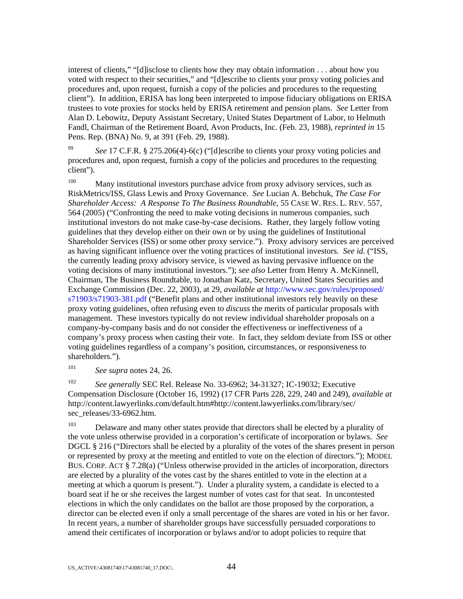interest of clients," "[d]isclose to clients how they may obtain information . . . about how you voted with respect to their securities," and "[d]escribe to clients your proxy voting policies and procedures and, upon request, furnish a copy of the policies and procedures to the requesting client"). In addition, ERISA has long been interpreted to impose fiduciary obligations on ERISA trustees to vote proxies for stocks held by ERISA retirement and pension plans. *See* Letter from Alan D. Lebowitz, Deputy Assistant Secretary, United States Department of Labor, to Helmuth Fandl, Chairman of the Retirement Board, Avon Products, Inc. (Feb. 23, 1988), *reprinted in* 15 Pens. Rep. (BNA) No. 9, at 391 (Feb. 29, 1988).

<sup>99</sup> *See* 17 C.F.R. § 275.206(4)-6(c) ("[d]escribe to clients your proxy voting policies and procedures and, upon request, furnish a copy of the policies and procedures to the requesting client").

<sup>100</sup> Many institutional investors purchase advice from proxy advisory services, such as RiskMetrics/ISS, Glass Lewis and Proxy Governance. *See* Lucian A. Bebchuk, *The Case For Shareholder Access: A Response To The Business Roundtable*, 55 CASE W. RES. L. REV. 557, 564 (2005) ("Confronting the need to make voting decisions in numerous companies, such institutional investors do not make case-by-case decisions. Rather, they largely follow voting guidelines that they develop either on their own or by using the guidelines of Institutional Shareholder Services (ISS) or some other proxy service."). Proxy advisory services are perceived as having significant influence over the voting practices of institutional investors. *See id.* ("ISS, the currently leading proxy advisory service, is viewed as having pervasive influence on the voting decisions of many institutional investors."); *see also* Letter from Henry A. McKinnell, Chairman, The Business Roundtable, to Jonathan Katz, Secretary, United States Securities and Exchange Commission (Dec. 22, 2003), at 29, *available at* http://www.sec.gov/rules/proposed/ s71903/s71903-381.pdf ("Benefit plans and other institutional investors rely heavily on these proxy voting guidelines, often refusing even to *discuss* the merits of particular proposals with management. These investors typically do not review individual shareholder proposals on a company-by-company basis and do not consider the effectiveness or ineffectiveness of a company's proxy process when casting their vote. In fact, they seldom deviate from ISS or other voting guidelines regardless of a company's position, circumstances, or responsiveness to shareholders.").

<sup>101</sup> *See supra* notes 24, 26.

<sup>102</sup> *See generally* SEC Rel. Release No. 33-6962; 34-31327; IC-19032; Executive Compensation Disclosure (October 16, 1992) (17 CFR Parts 228, 229, 240 and 249), *available at* http://content.lawyerlinks.com/default.htm#http://content.lawyerlinks.com/library/sec/ sec\_releases/33-6962.htm.

 $103$  Delaware and many other states provide that directors shall be elected by a plurality of the vote unless otherwise provided in a corporation's certificate of incorporation or bylaws. *See*  DGCL § 216 ("Directors shall be elected by a plurality of the votes of the shares present in person or represented by proxy at the meeting and entitled to vote on the election of directors."); MODEL BUS. CORP. ACT § 7.28(a) ("Unless otherwise provided in the articles of incorporation, directors are elected by a plurality of the votes cast by the shares entitled to vote in the election at a meeting at which a quorum is present."). Under a plurality system, a candidate is elected to a board seat if he or she receives the largest number of votes cast for that seat. In uncontested elections in which the only candidates on the ballot are those proposed by the corporation, a director can be elected even if only a small percentage of the shares are voted in his or her favor. In recent years, a number of shareholder groups have successfully persuaded corporations to amend their certificates of incorporation or bylaws and/or to adopt policies to require that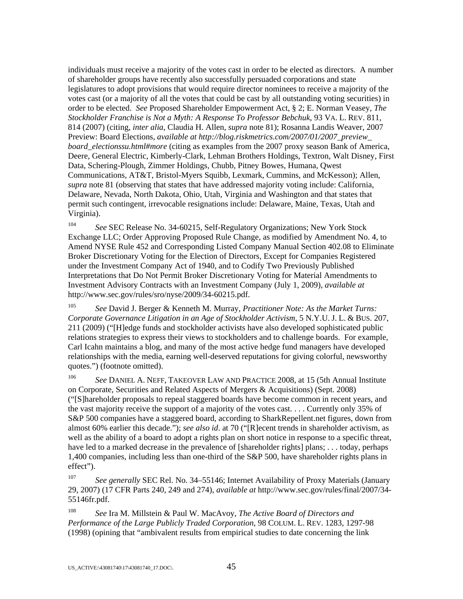individuals must receive a majority of the votes cast in order to be elected as directors. A number of shareholder groups have recently also successfully persuaded corporations and state legislatures to adopt provisions that would require director nominees to receive a majority of the votes cast (or a majority of all the votes that could be cast by all outstanding voting securities) in order to be elected. *See* Proposed Shareholder Empowerment Act, § 2; E. Norman Veasey, *The Stockholder Franchise is Not a Myth: A Response To Professor Bebchuk*, 93 VA. L. REV. 811, 814 (2007) (citing, *inter alia*, Claudia H. Allen, *supra* note 81); Rosanna Landis Weaver, 2007 Preview: Board Elections, *available at http://blog.riskmetrics.com/2007/01/2007\_preview\_ board\_electionssu.html#more* (citing as examples from the 2007 proxy season Bank of America, Deere, General Electric, Kimberly-Clark, Lehman Brothers Holdings, Textron, Walt Disney, First Data, Schering-Plough, Zimmer Holdings, Chubb, Pitney Bowes, Humana, Qwest Communications, AT&T, Bristol-Myers Squibb, Lexmark, Cummins, and McKesson); Allen, *supra* note 81 (observing that states that have addressed majority voting include: California, Delaware, Nevada, North Dakota, Ohio, Utah, Virginia and Washington and that states that permit such contingent, irrevocable resignations include: Delaware, Maine, Texas, Utah and Virginia).

<sup>104</sup> *See* SEC Release No. 34-60215, Self-Regulatory Organizations; New York Stock Exchange LLC; Order Approving Proposed Rule Change, as modified by Amendment No. 4, to Amend NYSE Rule 452 and Corresponding Listed Company Manual Section 402.08 to Eliminate Broker Discretionary Voting for the Election of Directors, Except for Companies Registered under the Investment Company Act of 1940, and to Codify Two Previously Published Interpretations that Do Not Permit Broker Discretionary Voting for Material Amendments to Investment Advisory Contracts with an Investment Company (July 1, 2009), *available at* http://www.sec.gov/rules/sro/nyse/2009/34-60215.pdf.

<sup>105</sup> *See* David J. Berger & Kenneth M. Murray, *Practitioner Note: As the Market Turns: Corporate Governance Litigation in an Age of Stockholder Activism*, 5 N.Y.U. J. L. & BUS. 207, 211 (2009) ("[H]edge funds and stockholder activists have also developed sophisticated public relations strategies to express their views to stockholders and to challenge boards. For example, Carl Icahn maintains a blog, and many of the most active hedge fund managers have developed relationships with the media, earning well-deserved reputations for giving colorful, newsworthy quotes.") (footnote omitted).

<sup>106</sup> *See* DANIEL A. NEFF, TAKEOVER LAW AND PRACTICE 2008, at 15 (5th Annual Institute on Corporate, Securities and Related Aspects of Mergers & Acquisitions) (Sept. 2008) ("[S]hareholder proposals to repeal staggered boards have become common in recent years, and the vast majority receive the support of a majority of the votes cast. . . . Currently only 35% of S&P 500 companies have a staggered board, according to SharkRepellent.net figures, down from almost 60% earlier this decade."); *see also id*. at 70 ("[R]ecent trends in shareholder activism, as well as the ability of a board to adopt a rights plan on short notice in response to a specific threat, have led to a marked decrease in the prevalence of [shareholder rights] plans; . . . today, perhaps 1,400 companies, including less than one-third of the S&P 500, have shareholder rights plans in effect").

<sup>107</sup> *See generally* SEC Rel. No. 34–55146; Internet Availability of Proxy Materials (January 29, 2007) (17 CFR Parts 240, 249 and 274), *available at* http://www.sec.gov/rules/final/2007/34- 55146fr.pdf.

108 *See* Ira M. Millstein & Paul W. MacAvoy, *The Active Board of Directors and Performance of the Large Publicly Traded Corporation*, 98 COLUM. L. REV. 1283, 1297-98 (1998) (opining that "ambivalent results from empirical studies to date concerning the link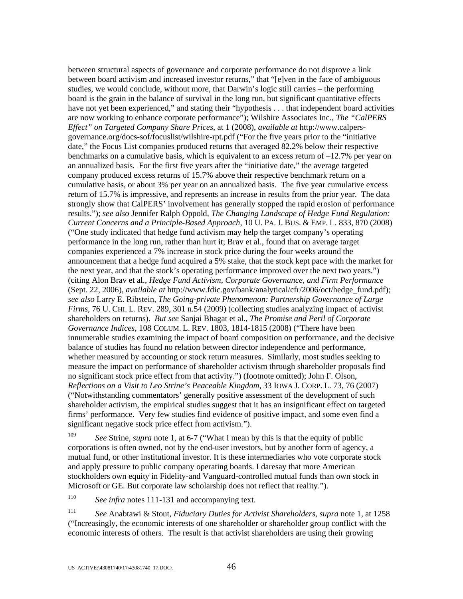between structural aspects of governance and corporate performance do not disprove a link between board activism and increased investor returns," that "[e]ven in the face of ambiguous studies, we would conclude, without more, that Darwin's logic still carries – the performing board is the grain in the balance of survival in the long run, but significant quantitative effects have not yet been experienced," and stating their "hypothesis . . . that independent board activities are now working to enhance corporate performance"); Wilshire Associates Inc., *The "CalPERS Effect" on Targeted Company Share Prices*, at 1 (2008), *available at* http://www.calpersgovernance.org/docs-sof/focuslist/wilshire-rpt.pdf ("For the five years prior to the "initiative date," the Focus List companies produced returns that averaged 82.2% below their respective benchmarks on a cumulative basis, which is equivalent to an excess return of –12.7% per year on an annualized basis. For the first five years after the "initiative date," the average targeted company produced excess returns of 15.7% above their respective benchmark return on a cumulative basis, or about 3% per year on an annualized basis. The five year cumulative excess return of 15.7% is impressive, and represents an increase in results from the prior year. The data strongly show that CalPERS' involvement has generally stopped the rapid erosion of performance results."); *see also* Jennifer Ralph Oppold, *The Changing Landscape of Hedge Fund Regulation: Current Concerns and a Principle-Based Approach*, 10 U. PA. J. BUS. & EMP. L. 833, 870 (2008) ("One study indicated that hedge fund activism may help the target company's operating performance in the long run, rather than hurt it; Brav et al., found that on average target companies experienced a 7% increase in stock price during the four weeks around the announcement that a hedge fund acquired a 5% stake, that the stock kept pace with the market for the next year, and that the stock's operating performance improved over the next two years.") (citing Alon Brav et al., *Hedge Fund Activism, Corporate Governance, and Firm Performance*  (Sept. 22, 2006), *available at* http://www.fdic.gov/bank/analytical/cfr/2006/oct/hedge\_fund.pdf); *see also* Larry E. Ribstein, *The Going-private Phenomenon: Partnership Governance of Large Firms*, 76 U. CHI. L. REV. 289, 301 n.54 (2009) (collecting studies analyzing impact of activist shareholders on returns). *But see* Sanjai Bhagat et al., *The Promise and Peril of Corporate Governance Indices*, 108 COLUM. L. REV. 1803, 1814-1815 (2008) ("There have been innumerable studies examining the impact of board composition on performance, and the decisive balance of studies has found no relation between director independence and performance, whether measured by accounting or stock return measures. Similarly, most studies seeking to measure the impact on performance of shareholder activism through shareholder proposals find no significant stock price effect from that activity.") (footnote omitted); John F. Olson, *Reflections on a Visit to Leo Strine's Peaceable Kingdom*, 33 IOWA J. CORP. L. 73, 76 (2007) ("Notwithstanding commentators' generally positive assessment of the development of such shareholder activism, the empirical studies suggest that it has an insignificant effect on targeted firms' performance. Very few studies find evidence of positive impact, and some even find a significant negative stock price effect from activism.").

<sup>109</sup> *See* Strine, *supra* note 1, at 6-7 ("What I mean by this is that the equity of public corporations is often owned, not by the end-user investors, but by another form of agency, a mutual fund, or other institutional investor. It is these intermediaries who vote corporate stock and apply pressure to public company operating boards. I daresay that more American stockholders own equity in Fidelity-and Vanguard-controlled mutual funds than own stock in Microsoft or GE. But corporate law scholarship does not reflect that reality.").

<sup>110</sup> *See infra* notes 111-131 and accompanying text.

<sup>111</sup> *See* Anabtawi & Stout, *Fiduciary Duties for Activist Shareholders*, *supra* note 1, at 1258 ("Increasingly, the economic interests of one shareholder or shareholder group conflict with the economic interests of others. The result is that activist shareholders are using their growing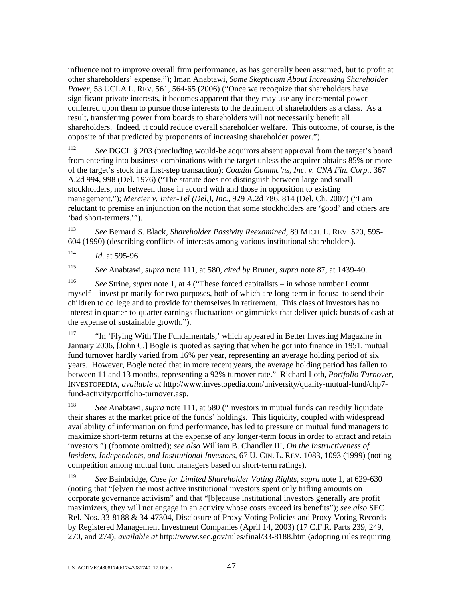influence not to improve overall firm performance, as has generally been assumed, but to profit at other shareholders' expense."); Iman Anabtawi, *Some Skepticism About Increasing Shareholder Power*, 53 UCLA L. REV. 561, 564-65 (2006) ("Once we recognize that shareholders have significant private interests, it becomes apparent that they may use any incremental power conferred upon them to pursue those interests to the detriment of shareholders as a class. As a result, transferring power from boards to shareholders will not necessarily benefit all shareholders. Indeed, it could reduce overall shareholder welfare. This outcome, of course, is the opposite of that predicted by proponents of increasing shareholder power.").

<sup>112</sup> *See* DGCL § 203 (precluding would-be acquirors absent approval from the target's board from entering into business combinations with the target unless the acquirer obtains 85% or more of the target's stock in a first-step transaction); *Coaxial Commc'ns, Inc. v. CNA Fin. Corp.*, 367 A.2d 994, 998 (Del. 1976) ("The statute does not distinguish between large and small stockholders, nor between those in accord with and those in opposition to existing management."); *Mercier v. Inter-Tel (Del.), Inc.*, 929 A.2d 786, 814 (Del. Ch. 2007) ("I am reluctant to premise an injunction on the notion that some stockholders are 'good' and others are 'bad short-termers.'").

<sup>113</sup> *See* Bernard S. Black, *Shareholder Passivity Reexamined*, 89 MICH. L. REV. 520, 595- 604 (1990) (describing conflicts of interests among various institutional shareholders).

 $114$  *Id.* at 595-96.

<sup>115</sup> *See* Anabtawi, *supra* note 111, at 580, *cited by* Bruner, *supra* note 87, at 1439-40.

<sup>116</sup> *See* Strine, *supra* note 1, at 4 ("These forced capitalists – in whose number I count myself – invest primarily for two purposes, both of which are long-term in focus: to send their children to college and to provide for themselves in retirement. This class of investors has no interest in quarter-to-quarter earnings fluctuations or gimmicks that deliver quick bursts of cash at the expense of sustainable growth.").

<sup>117</sup> "In 'Flying With The Fundamentals,' which appeared in Better Investing Magazine in January 2006, [John C.] Bogle is quoted as saying that when he got into finance in 1951, mutual fund turnover hardly varied from 16% per year, representing an average holding period of six years. However, Bogle noted that in more recent years, the average holding period has fallen to between 11 and 13 months, representing a 92% turnover rate." Richard Loth, *Portfolio Turnover*, INVESTOPEDIA, *available at* http://www.investopedia.com/university/quality-mutual-fund/chp7 fund-activity/portfolio-turnover.asp.

<sup>118</sup> *See* Anabtawi, *supra* note 111, at 580 ("Investors in mutual funds can readily liquidate their shares at the market price of the funds' holdings. This liquidity, coupled with widespread availability of information on fund performance, has led to pressure on mutual fund managers to maximize short-term returns at the expense of any longer-term focus in order to attract and retain investors.") (footnote omitted); *see also* William B. Chandler III, *On the Instructiveness of Insiders, Independents, and Institutional Investors*, 67 U. CIN. L. REV. 1083, 1093 (1999) (noting competition among mutual fund managers based on short-term ratings).

<sup>119</sup> *See* Bainbridge, *Case for Limited Shareholder Voting Rights*, *supra* note 1, at 629-630 (noting that "[e]ven the most active institutional investors spent only trifling amounts on corporate governance activism" and that "[b]ecause institutional investors generally are profit maximizers, they will not engage in an activity whose costs exceed its benefits"); *see also* SEC Rel. Nos. 33-8188 & 34-47304, Disclosure of Proxy Voting Policies and Proxy Voting Records by Registered Management Investment Companies (April 14, 2003) (17 C.F.R. Parts 239, 249, 270, and 274), *available at* http://www.sec.gov/rules/final/33-8188.htm (adopting rules requiring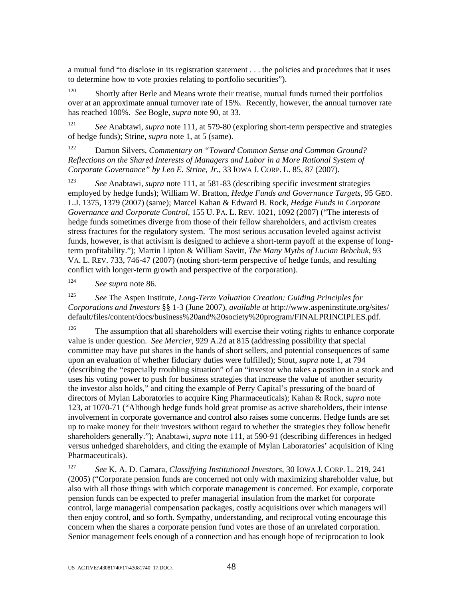a mutual fund "to disclose in its registration statement . . . the policies and procedures that it uses to determine how to vote proxies relating to portfolio securities").

 $120$  Shortly after Berle and Means wrote their treatise, mutual funds turned their portfolios over at an approximate annual turnover rate of 15%. Recently, however, the annual turnover rate has reached 100%. *See* Bogle, *supra* note 90, at 33.

<sup>121</sup> *See* Anabtawi, *supra* note 111, at 579-80 (exploring short-term perspective and strategies of hedge funds); Strine, *supra* note 1, at 5 (same).

122 Damon Silvers, *Commentary on "Toward Common Sense and Common Ground? Reflections on the Shared Interests of Managers and Labor in a More Rational System of Corporate Governance" by Leo E. Strine, Jr.*, 33 IOWA J. CORP. L. 85, 87 (2007).

<sup>123</sup> *See* Anabtawi, *supra* note 111, at 581-83 (describing specific investment strategies employed by hedge funds); William W. Bratton, *Hedge Funds and Governance Targets*, 95 GEO. L.J. 1375, 1379 (2007) (same); Marcel Kahan & Edward B. Rock, *Hedge Funds in Corporate Governance and Corporate Control*, 155 U. PA. L. REV. 1021, 1092 (2007) ("The interests of hedge funds sometimes diverge from those of their fellow shareholders, and activism creates stress fractures for the regulatory system. The most serious accusation leveled against activist funds, however, is that activism is designed to achieve a short-term payoff at the expense of longterm profitability."); Martin Lipton & William Savitt, *The Many Myths of Lucian Bebchuk*, 93 VA. L. REV. 733, 746-47 (2007) (noting short-term perspective of hedge funds, and resulting conflict with longer-term growth and perspective of the corporation).

<sup>124</sup> *See supra* note 86.

<sup>125</sup> *See* The Aspen Institute, *Long-Term Valuation Creation: Guiding Principles for Corporations and Investors* §§ 1-3 (June 2007), *available at* http://www.aspeninstitute.org/sites/ default/files/content/docs/business%20and%20society%20program/FINALPRINCIPLES.pdf.

 $126$  The assumption that all shareholders will exercise their voting rights to enhance corporate value is under question. *See Mercier*, 929 A.2d at 815 (addressing possibility that special committee may have put shares in the hands of short sellers, and potential consequences of same upon an evaluation of whether fiduciary duties were fulfilled); Stout, *supra* note 1, at 794 (describing the "especially troubling situation" of an "investor who takes a position in a stock and uses his voting power to push for business strategies that increase the value of another security the investor also holds," and citing the example of Perry Capital's pressuring of the board of directors of Mylan Laboratories to acquire King Pharmaceuticals); Kahan & Rock, *supra* note 123, at 1070-71 ("Although hedge funds hold great promise as active shareholders, their intense involvement in corporate governance and control also raises some concerns. Hedge funds are set up to make money for their investors without regard to whether the strategies they follow benefit shareholders generally."); Anabtawi, *supra* note 111, at 590-91 (describing differences in hedged versus unhedged shareholders, and citing the example of Mylan Laboratories' acquisition of King Pharmaceuticals).

127 *See* K. A. D. Camara, *Classifying Institutional Investors*, 30 IOWA J. CORP. L. 219, 241 (2005) ("Corporate pension funds are concerned not only with maximizing shareholder value, but also with all those things with which corporate management is concerned. For example, corporate pension funds can be expected to prefer managerial insulation from the market for corporate control, large managerial compensation packages, costly acquisitions over which managers will then enjoy control, and so forth. Sympathy, understanding, and reciprocal voting encourage this concern when the shares a corporate pension fund votes are those of an unrelated corporation. Senior management feels enough of a connection and has enough hope of reciprocation to look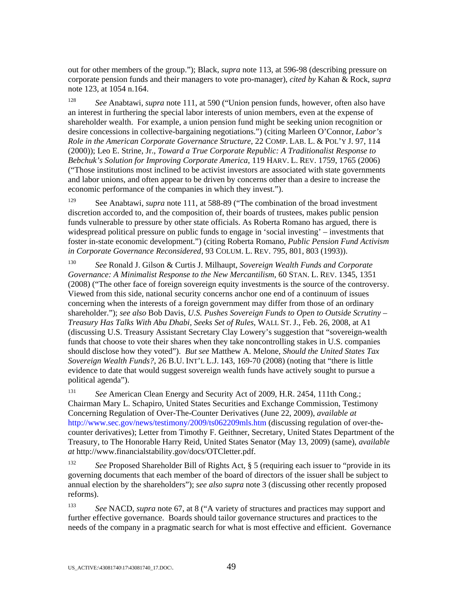out for other members of the group."); Black, *supra* note 113, at 596-98 (describing pressure on corporate pension funds and their managers to vote pro-manager), *cited by* Kahan & Rock, *supra* note 123, at 1054 n.164.

<sup>128</sup> *See* Anabtawi, *supra* note 111, at 590 ("Union pension funds, however, often also have an interest in furthering the special labor interests of union members, even at the expense of shareholder wealth. For example, a union pension fund might be seeking union recognition or desire concessions in collective-bargaining negotiations.") (citing Marleen O'Connor, *Labor's Role in the American Corporate Governance Structure*, 22 COMP. LAB. L. & POL'Y J. 97, 114 (2000)); Leo E. Strine, Jr., *Toward a True Corporate Republic: A Traditionalist Response to Bebchuk's Solution for Improving Corporate America*, 119 HARV. L. REV. 1759, 1765 (2006) ("Those institutions most inclined to be activist investors are associated with state governments and labor unions, and often appear to be driven by concerns other than a desire to increase the economic performance of the companies in which they invest.").

<sup>129</sup> See Anabtawi, *supra* note 111, at 588-89 ("The combination of the broad investment" discretion accorded to, and the composition of, their boards of trustees, makes public pension funds vulnerable to pressure by other state officials. As Roberta Romano has argued, there is widespread political pressure on public funds to engage in 'social investing' – investments that foster in-state economic development.") (citing Roberta Romano, *Public Pension Fund Activism in Corporate Governance Reconsidered*, 93 COLUM. L. REV. 795, 801, 803 (1993)).

<sup>130</sup> *See* Ronald J. Gilson & Curtis J. Milhaupt, *Sovereign Wealth Funds and Corporate Governance: A Minimalist Response to the New Mercantilism*, 60 STAN. L. REV. 1345, 1351 (2008) ("The other face of foreign sovereign equity investments is the source of the controversy. Viewed from this side, national security concerns anchor one end of a continuum of issues concerning when the interests of a foreign government may differ from those of an ordinary shareholder."); *see also* Bob Davis, *U.S. Pushes Sovereign Funds to Open to Outside Scrutiny* – *Treasury Has Talks With Abu Dhabi, Seeks Set of Rules*, WALL ST. J., Feb. 26, 2008, at A1 (discussing U.S. Treasury Assistant Secretary Clay Lowery's suggestion that "sovereign-wealth funds that choose to vote their shares when they take noncontrolling stakes in U.S. companies should disclose how they voted"). *But see* Matthew A. Melone, *Should the United States Tax Sovereign Wealth Funds?*, 26 B.U. INT'L L.J. 143, 169-70 (2008) (noting that "there is little evidence to date that would suggest sovereign wealth funds have actively sought to pursue a political agenda").

131 *See* American Clean Energy and Security Act of 2009, H.R. 2454, 111th Cong.; Chairman Mary L. Schapiro, United States Securities and Exchange Commission, Testimony Concerning Regulation of Over-The-Counter Derivatives (June 22, 2009), *available at*  http://www.sec.gov/news/testimony/2009/ts062209mls.htm (discussing regulation of over-thecounter derivatives); Letter from Timothy F. Geithner, Secretary, United States Department of the Treasury, to The Honorable Harry Reid, United States Senator (May 13, 2009) (same), *available at* http://www.financialstability.gov/docs/OTCletter.pdf.

132 *See* Proposed Shareholder Bill of Rights Act, § 5 (requiring each issuer to "provide in its governing documents that each member of the board of directors of the issuer shall be subject to annual election by the shareholders"); *see also supra* note 3 (discussing other recently proposed reforms).

133 *See* NACD, *supra* note 67, at 8 ("A variety of structures and practices may support and further effective governance. Boards should tailor governance structures and practices to the needs of the company in a pragmatic search for what is most effective and efficient. Governance